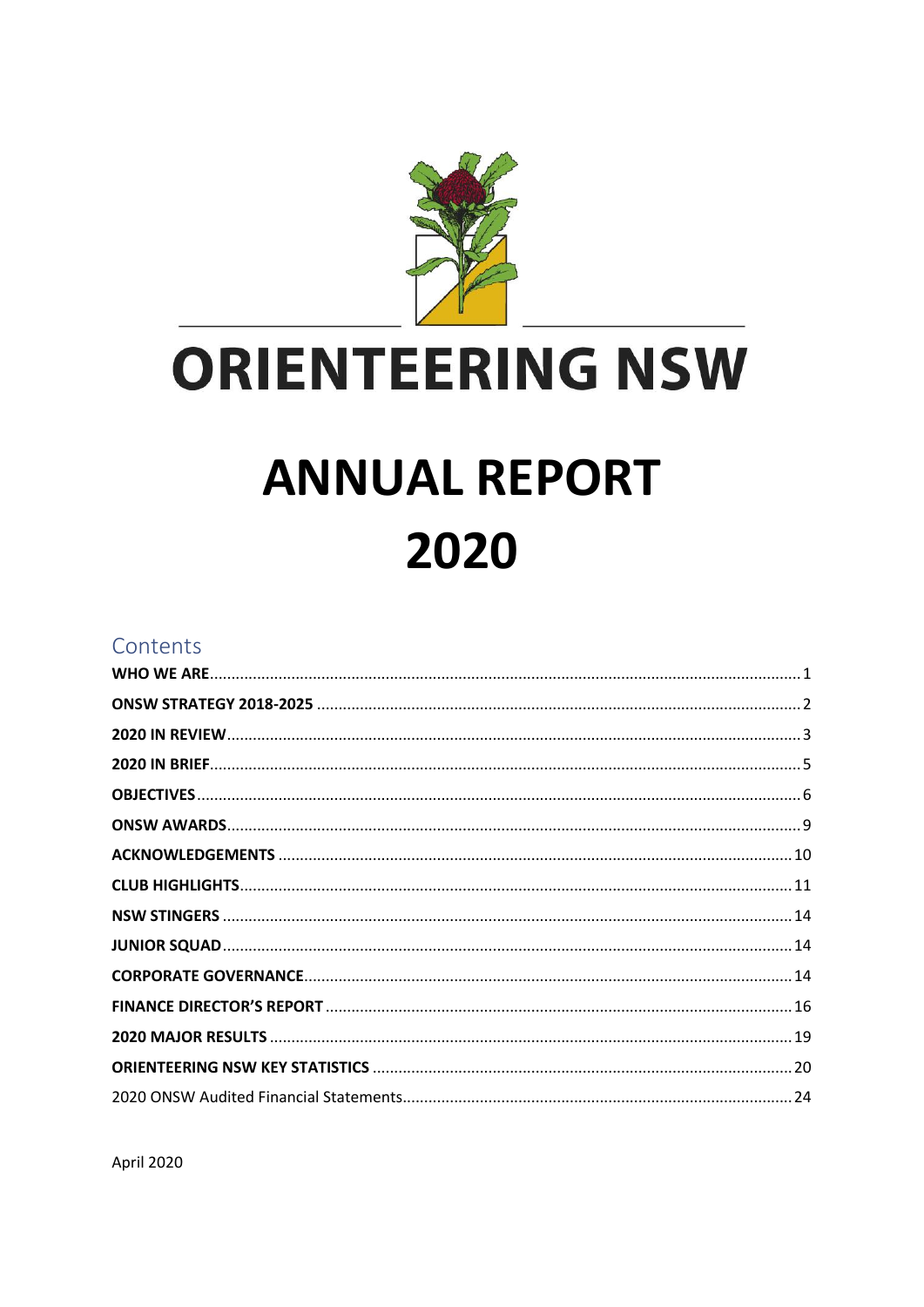

# **ORIENTEERING NSW**

# **ANNUAL REPORT** 2020

#### Contents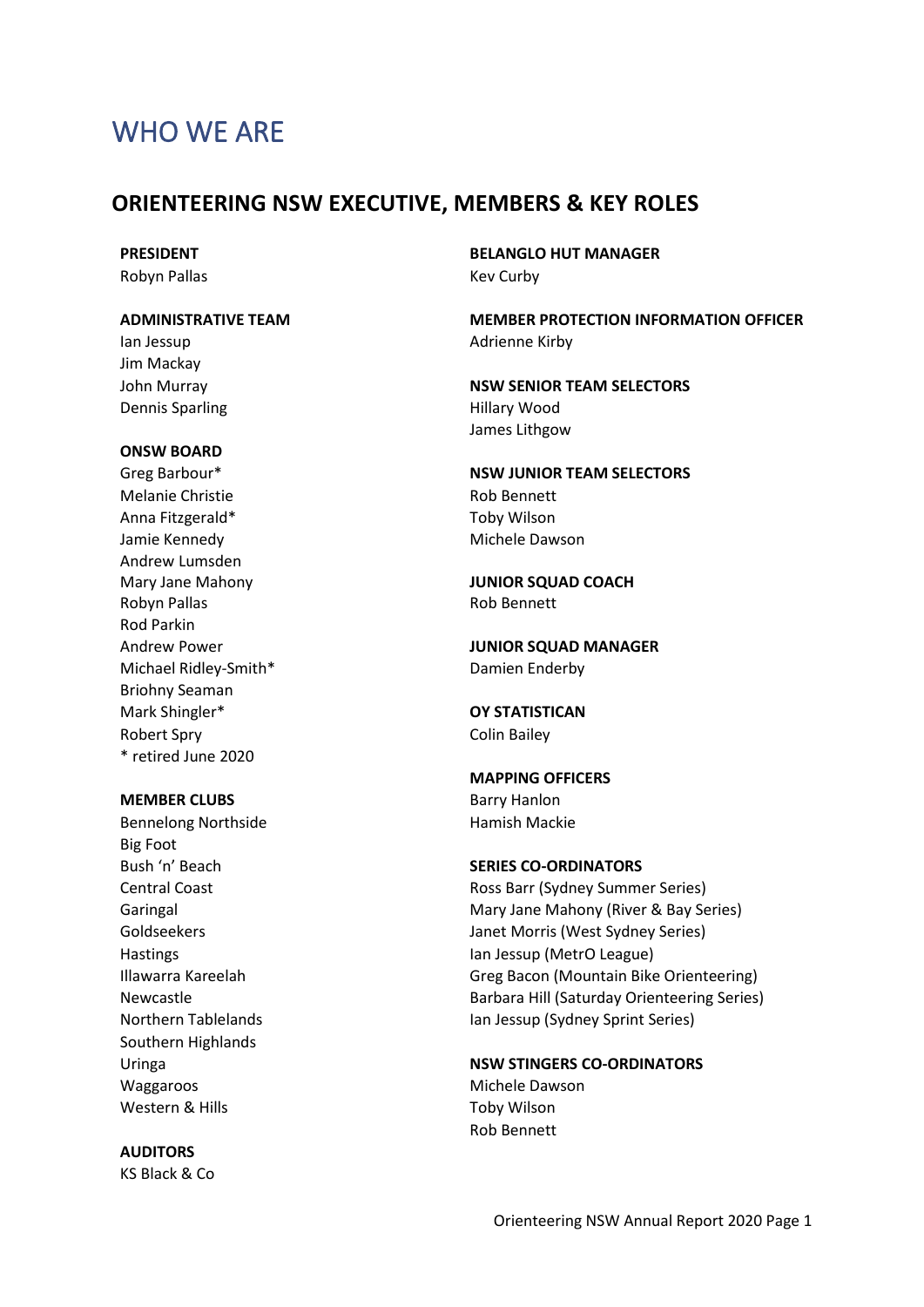## <span id="page-1-0"></span>WHO WE ARE

#### **ORIENTEERING NSW EXECUTIVE, MEMBERS & KEY ROLES**

Ian Jessup **Adrienne Kirby** Jim Mackay Dennis Sparling The Termin Sparling Hillary Wood

#### **ONSW BOARD**

Melanie Christie **Rob Bennett** Anna Fitzgerald\* Toby Wilson Jamie Kennedy Michele Dawson Andrew Lumsden Mary Jane Mahony **JUNIOR SQUAD COACH** Robyn Pallas **Rob Bennett** Rod Parkin Michael Ridley-Smith\* Damien Enderby Briohny Seaman Mark Shingler\* **OY STATISTICAN** Robert Spry **Colin Bailey** \* retired June 2020

**MEMBER CLUBS** Barry Hanlon

Bennelong Northside **Hamish Mackie** Big Foot Southern Highlands Waggaroos **Michele Dawson** Western & Hills **Toby Wilson** 

#### **AUDITORS**

KS Black & Co

**PRESIDENT BELANGLO HUT MANAGER** Robyn Pallas **Key Curby** Key Curby

**ADMINISTRATIVE TEAM MEMBER PROTECTION INFORMATION OFFICER**

John Murray **NSW SENIOR TEAM SELECTORS** James Lithgow

Greg Barbour\* **NSW JUNIOR TEAM SELECTORS**

Andrew Power **JUNIOR SQUAD MANAGER**

# **MAPPING OFFICERS**

#### Bush 'n' Beach **SERIES CO-ORDINATORS**

Central Coast Ross Barr (Sydney Summer Series) Garingal Mary Jane Mahony (River & Bay Series) Goldseekers **Goldseekers** Janet Morris (West Sydney Series) Hastings **Internal Community** Ian Jessup (MetrO League) Illawarra Kareelah Greg Bacon (Mountain Bike Orienteering) Newcastle Barbara Hill (Saturday Orienteering Series) Northern Tablelands **Ian Jessup (Sydney Sprint Series)** 

Uringa **NSW STINGERS CO-ORDINATORS**

Rob Bennett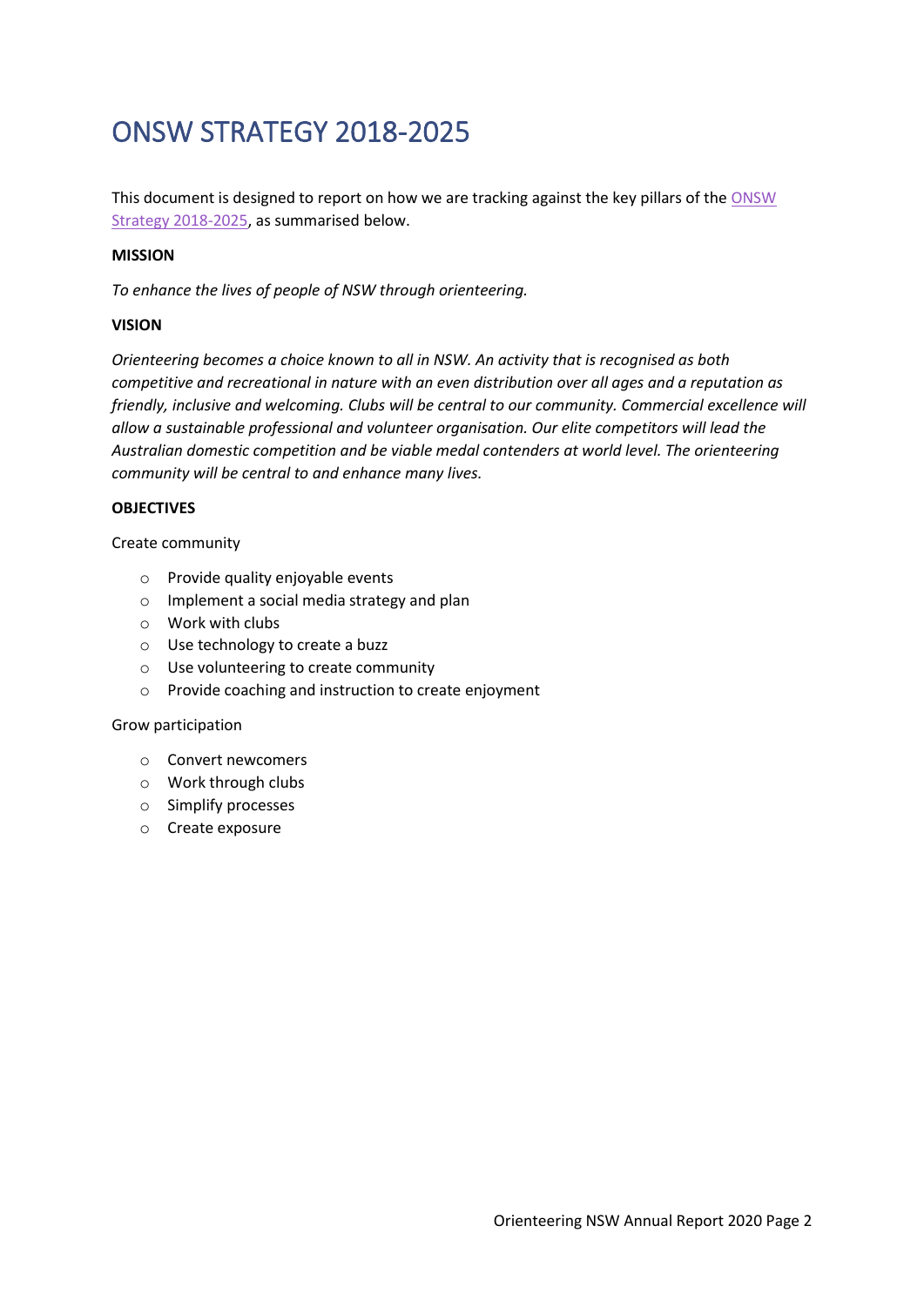# <span id="page-2-0"></span>ONSW STRATEGY 2018-2025

This document is designed to report on how we are tracking against the key pillars of the [ONSW](https://onsw.asn.au/images/stories/admin/ONSW%20Strategy%202018%20to%202025%20V8.pdf)  [Strategy 2018-2025,](https://onsw.asn.au/images/stories/admin/ONSW%20Strategy%202018%20to%202025%20V8.pdf) as summarised below.

#### **MISSION**

*To enhance the lives of people of NSW through orienteering.*

#### **VISION**

*Orienteering becomes a choice known to all in NSW. An activity that is recognised as both competitive and recreational in nature with an even distribution over all ages and a reputation as friendly, inclusive and welcoming. Clubs will be central to our community. Commercial excellence will allow a sustainable professional and volunteer organisation. Our elite competitors will lead the Australian domestic competition and be viable medal contenders at world level. The orienteering community will be central to and enhance many lives.* 

#### **OBJECTIVES**

#### Create community

- o Provide quality enjoyable events
- o Implement a social media strategy and plan
- o Work with clubs
- o Use technology to create a buzz
- o Use volunteering to create community
- o Provide coaching and instruction to create enjoyment

#### Grow participation

- o Convert newcomers
- o Work through clubs
- o Simplify processes
- o Create exposure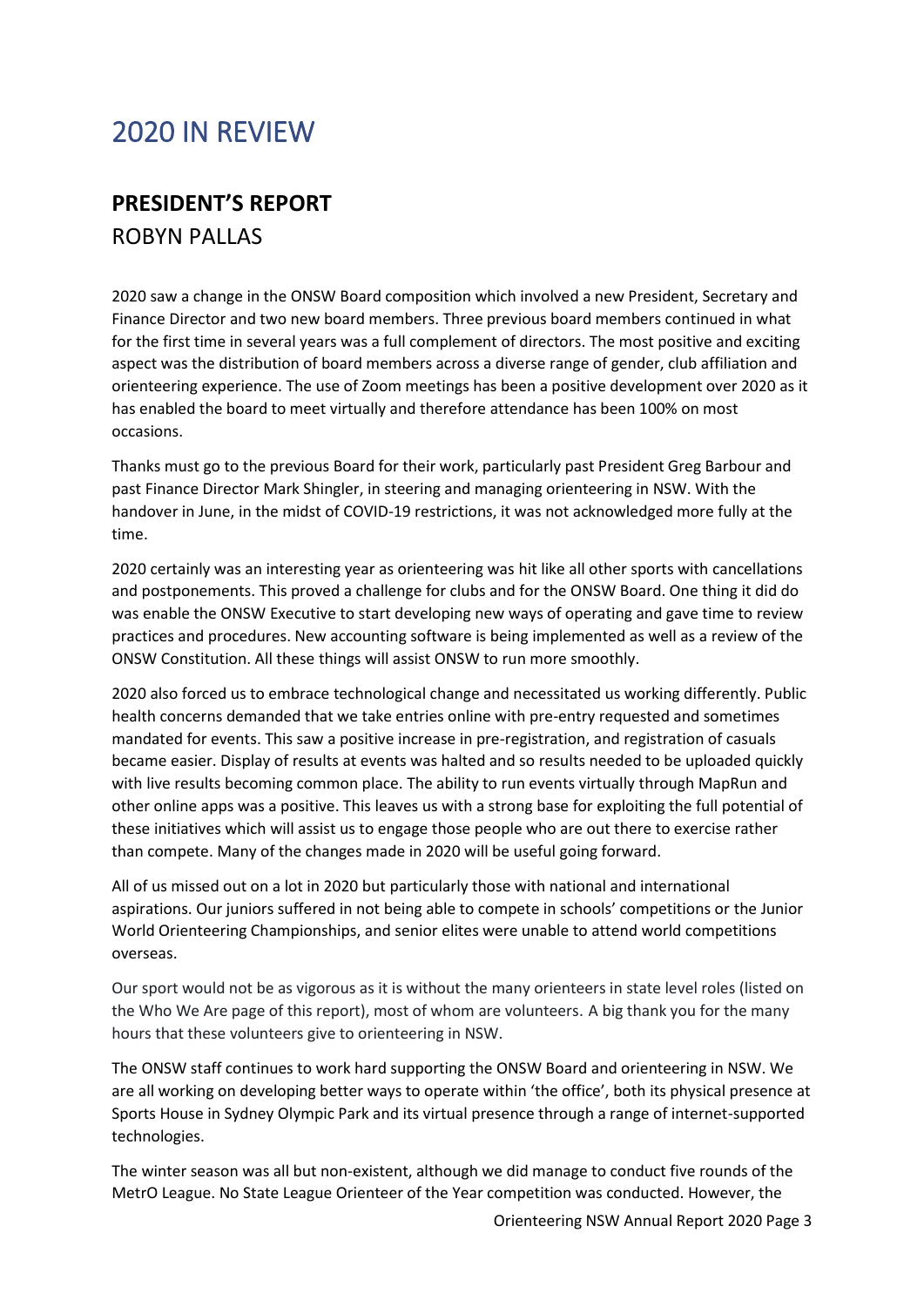## <span id="page-3-0"></span>2020 IN REVIEW

## **PRESIDENT'S REPORT** ROBYN PALLAS

2020 saw a change in the ONSW Board composition which involved a new President, Secretary and Finance Director and two new board members. Three previous board members continued in what for the first time in several years was a full complement of directors. The most positive and exciting aspect was the distribution of board members across a diverse range of gender, club affiliation and orienteering experience. The use of Zoom meetings has been a positive development over 2020 as it has enabled the board to meet virtually and therefore attendance has been 100% on most occasions.

Thanks must go to the previous Board for their work, particularly past President Greg Barbour and past Finance Director Mark Shingler, in steering and managing orienteering in NSW. With the handover in June, in the midst of COVID-19 restrictions, it was not acknowledged more fully at the time.

2020 certainly was an interesting year as orienteering was hit like all other sports with cancellations and postponements. This proved a challenge for clubs and for the ONSW Board. One thing it did do was enable the ONSW Executive to start developing new ways of operating and gave time to review practices and procedures. New accounting software is being implemented as well as a review of the ONSW Constitution. All these things will assist ONSW to run more smoothly.

2020 also forced us to embrace technological change and necessitated us working differently. Public health concerns demanded that we take entries online with pre-entry requested and sometimes mandated for events. This saw a positive increase in pre-registration, and registration of casuals became easier. Display of results at events was halted and so results needed to be uploaded quickly with live results becoming common place. The ability to run events virtually through MapRun and other online apps was a positive. This leaves us with a strong base for exploiting the full potential of these initiatives which will assist us to engage those people who are out there to exercise rather than compete. Many of the changes made in 2020 will be useful going forward.

All of us missed out on a lot in 2020 but particularly those with national and international aspirations. Our juniors suffered in not being able to compete in schools' competitions or the Junior World Orienteering Championships, and senior elites were unable to attend world competitions overseas.

Our sport would not be as vigorous as it is without the many orienteers in state level roles (listed on the Who We Are page of this report), most of whom are volunteers. A big thank you for the many hours that these volunteers give to orienteering in NSW.

The ONSW staff continues to work hard supporting the ONSW Board and orienteering in NSW. We are all working on developing better ways to operate within 'the office', both its physical presence at Sports House in Sydney Olympic Park and its virtual presence through a range of internet-supported technologies.

The winter season was all but non-existent, although we did manage to conduct five rounds of the MetrO League. No State League Orienteer of the Year competition was conducted. However, the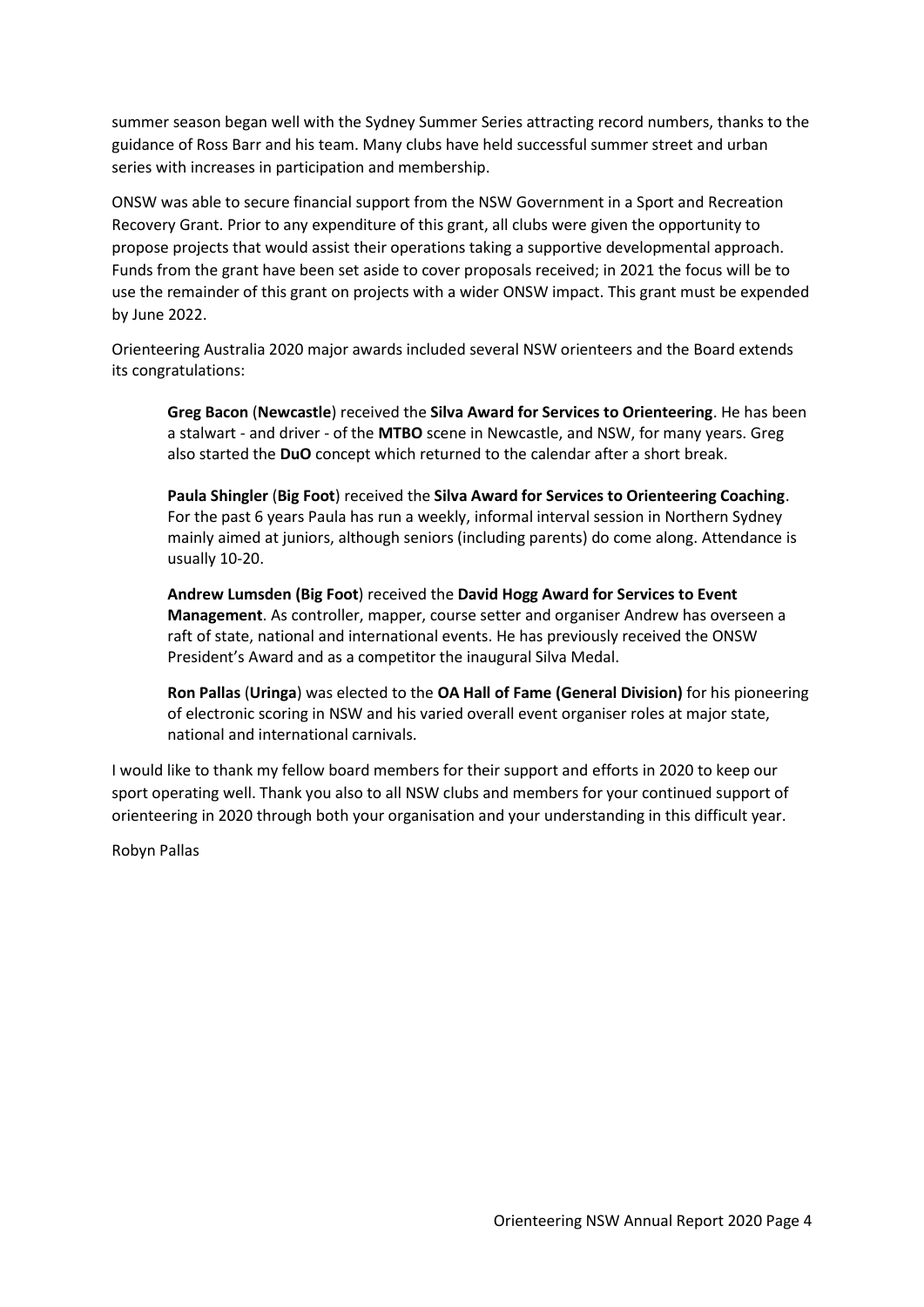summer season began well with the Sydney Summer Series attracting record numbers, thanks to the guidance of Ross Barr and his team. Many clubs have held successful summer street and urban series with increases in participation and membership.

ONSW was able to secure financial support from the NSW Government in a Sport and Recreation Recovery Grant. Prior to any expenditure of this grant, all clubs were given the opportunity to propose projects that would assist their operations taking a supportive developmental approach. Funds from the grant have been set aside to cover proposals received; in 2021 the focus will be to use the remainder of this grant on projects with a wider ONSW impact. This grant must be expended by June 2022.

Orienteering Australia 2020 major awards included several NSW orienteers and the Board extends its congratulations:

**Greg Bacon** (**Newcastle**) received the **Silva Award for Services to Orienteering**. He has been a stalwart - and driver - of the **MTBO** scene in Newcastle, and NSW, for many years. Greg also started the **DuO** concept which returned to the calendar after a short break.

**Paula Shingler** (**Big Foot**) received the **Silva Award for Services to Orienteering Coaching**. For the past 6 years Paula has run a weekly, informal interval session in Northern Sydney mainly aimed at juniors, although seniors (including parents) do come along. Attendance is usually 10-20.

**Andrew Lumsden (Big Foot**) received the **David Hogg Award for Services to Event Management**. As controller, mapper, course setter and organiser Andrew has overseen a raft of state, national and international events. He has previously received the ONSW President's Award and as a competitor the inaugural Silva Medal.

**Ron Pallas** (**Uringa**) was elected to the **OA Hall of Fame (General Division)** for his pioneering of electronic scoring in NSW and his varied overall event organiser roles at major state, national and international carnivals.

I would like to thank my fellow board members for their support and efforts in 2020 to keep our sport operating well. Thank you also to all NSW clubs and members for your continued support of orienteering in 2020 through both your organisation and your understanding in this difficult year.

Robyn Pallas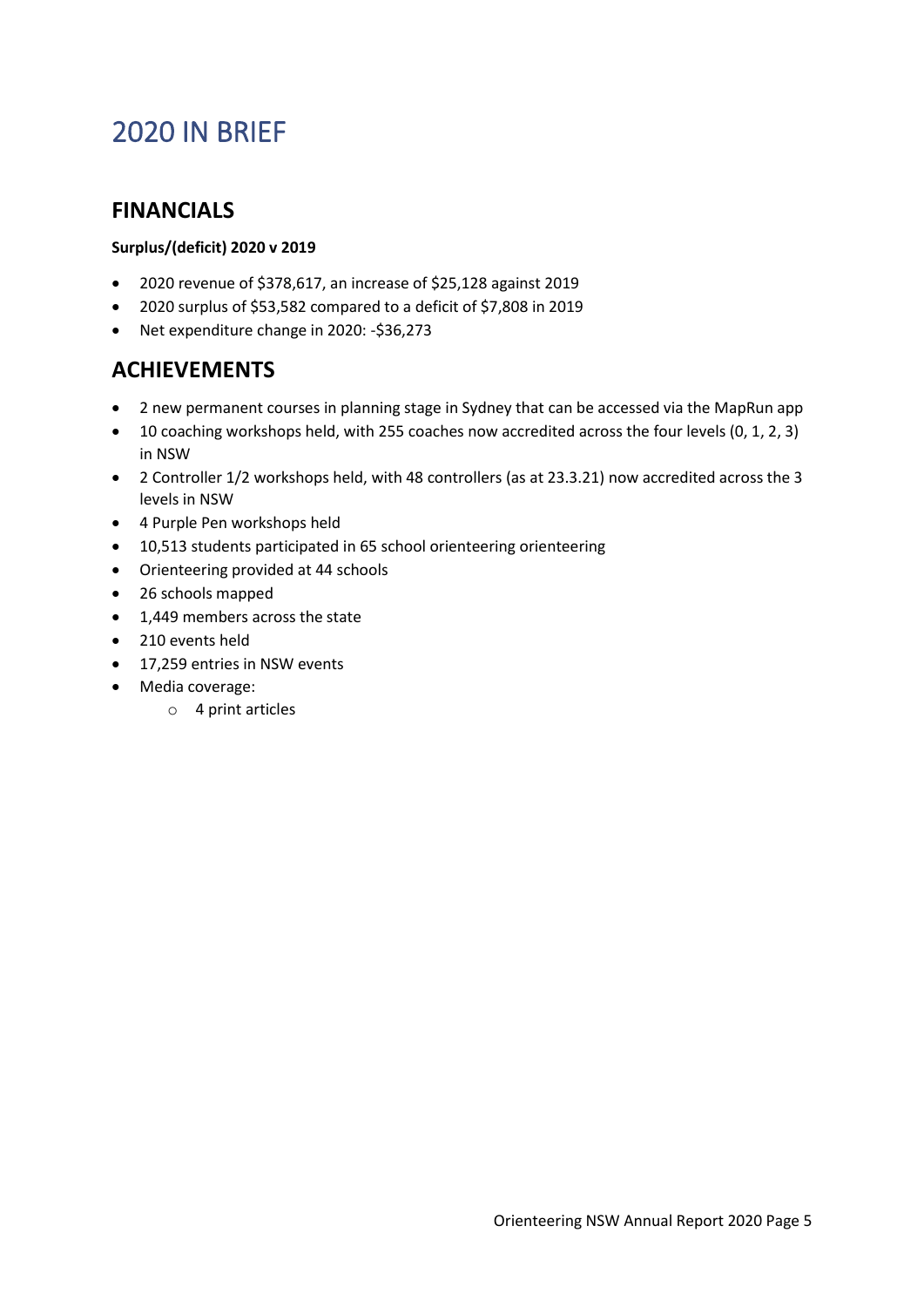## <span id="page-5-0"></span>2020 IN BRIEF

## **FINANCIALS**

#### **Surplus/(deficit) 2020 v 2019**

- 2020 revenue of \$378,617, an increase of \$25,128 against 2019
- 2020 surplus of \$53,582 compared to a deficit of \$7,808 in 2019
- Net expenditure change in 2020: -\$36,273

## **ACHIEVEMENTS**

- 2 new permanent courses in planning stage in Sydney that can be accessed via the MapRun app
- 10 coaching workshops held, with 255 coaches now accredited across the four levels (0, 1, 2, 3) in NSW
- 2 Controller 1/2 workshops held, with 48 controllers (as at 23.3.21) now accredited across the 3 levels in NSW
- 4 Purple Pen workshops held
- 10,513 students participated in 65 school orienteering orienteering
- Orienteering provided at 44 schools
- 26 schools mapped
- 1,449 members across the state
- 210 events held
- 17,259 entries in NSW events
- Media coverage:
	- o 4 print articles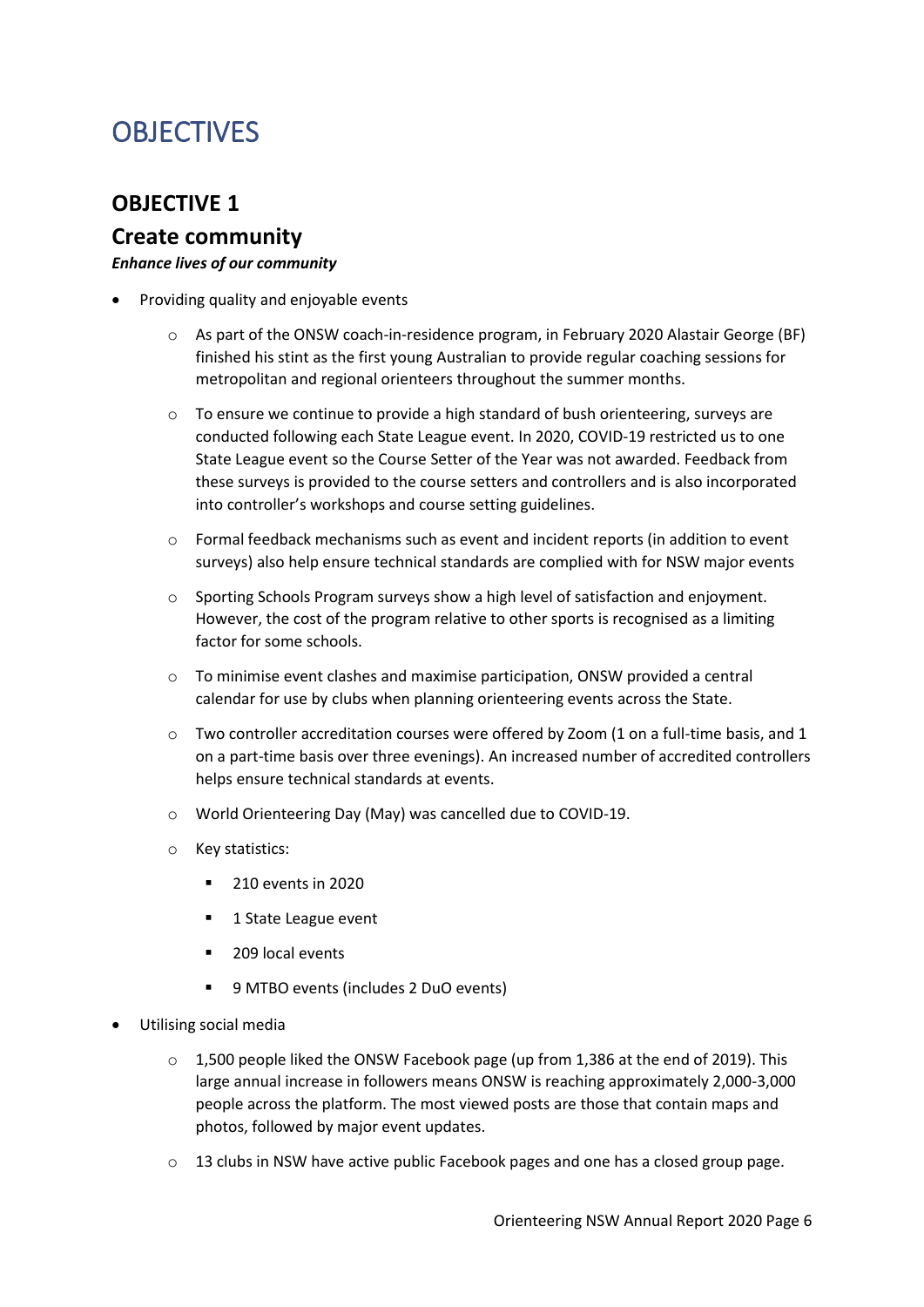## <span id="page-6-0"></span>**OBJECTIVES**

## **OBJECTIVE 1**

#### **Create community**

#### *Enhance lives of our community*

- Providing quality and enjoyable events
	- $\circ$  As part of the ONSW coach-in-residence program, in February 2020 Alastair George (BF) finished his stint as the first young Australian to provide regular coaching sessions for metropolitan and regional orienteers throughout the summer months.
	- o To ensure we continue to provide a high standard of bush orienteering, surveys are conducted following each State League event. In 2020, COVID-19 restricted us to one State League event so the Course Setter of the Year was not awarded. Feedback from these surveys is provided to the course setters and controllers and is also incorporated into controller's workshops and course setting guidelines.
	- $\circ$  Formal feedback mechanisms such as event and incident reports (in addition to event surveys) also help ensure technical standards are complied with for NSW major events
	- o Sporting Schools Program surveys show a high level of satisfaction and enjoyment. However, the cost of the program relative to other sports is recognised as a limiting factor for some schools.
	- o To minimise event clashes and maximise participation, ONSW provided a central calendar for use by clubs when planning orienteering events across the State.
	- $\circ$  Two controller accreditation courses were offered by Zoom (1 on a full-time basis, and 1 on a part-time basis over three evenings). An increased number of accredited controllers helps ensure technical standards at events.
	- o World Orienteering Day (May) was cancelled due to COVID-19.
	- o Key statistics:
		- 210 events in 2020
		- 1 State League event
		- 209 local events
		- 9 MTBO events (includes 2 DuO events)
- Utilising social media
	- $\circ$  1,500 people liked the ONSW Facebook page (up from 1,386 at the end of 2019). This large annual increase in followers means ONSW is reaching approximately 2,000-3,000 people across the platform. The most viewed posts are those that contain maps and photos, followed by major event updates.
	- $\circ$  13 clubs in NSW have active public Facebook pages and one has a closed group page.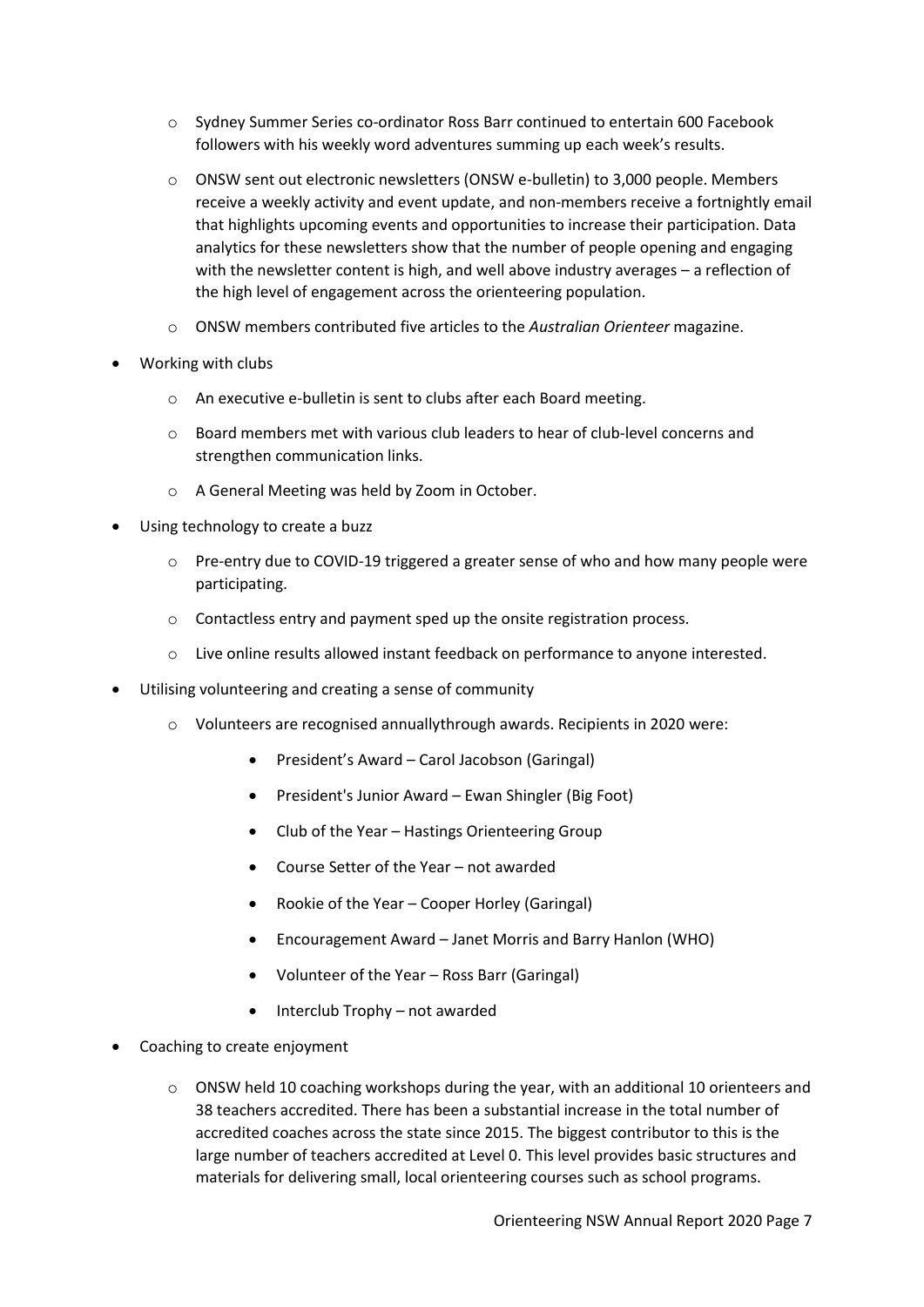- o Sydney Summer Series co-ordinator Ross Barr continued to entertain 600 Facebook followers with his weekly word adventures summing up each week's results.
- o ONSW sent out electronic newsletters (ONSW e-bulletin) to 3,000 people. Members receive a weekly activity and event update, and non-members receive a fortnightly email that highlights upcoming events and opportunities to increase their participation. Data analytics for these newsletters show that the number of people opening and engaging with the newsletter content is high, and well above industry averages – a reflection of the high level of engagement across the orienteering population.
- o ONSW members contributed five articles to the *Australian Orienteer* magazine.
- Working with clubs
	- o An executive e-bulletin is sent to clubs after each Board meeting.
	- o Board members met with various club leaders to hear of club-level concerns and strengthen communication links.
	- o A General Meeting was held by Zoom in October.
- Using technology to create a buzz
	- o Pre-entry due to COVID-19 triggered a greater sense of who and how many people were participating.
	- o Contactless entry and payment sped up the onsite registration process.
	- o Live online results allowed instant feedback on performance to anyone interested.
- Utilising volunteering and creating a sense of community
	- o Volunteers are recognised annuallythrough awards. Recipients in 2020 were:
		- President's Award Carol Jacobson (Garingal)
		- President's Junior Award Ewan Shingler (Big Foot)
		- Club of the Year Hastings Orienteering Group
		- Course Setter of the Year not awarded
		- Rookie of the Year Cooper Horley (Garingal)
		- Encouragement Award Janet Morris and Barry Hanlon (WHO)
		- Volunteer of the Year Ross Barr (Garingal)
		- Interclub Trophy not awarded
- Coaching to create enjoyment
	- $\circ$  ONSW held 10 coaching workshops during the year, with an additional 10 orienteers and 38 teachers accredited. There has been a substantial increase in the total number of accredited coaches across the state since 2015. The biggest contributor to this is the large number of teachers accredited at Level 0. This level provides basic structures and materials for delivering small, local orienteering courses such as school programs.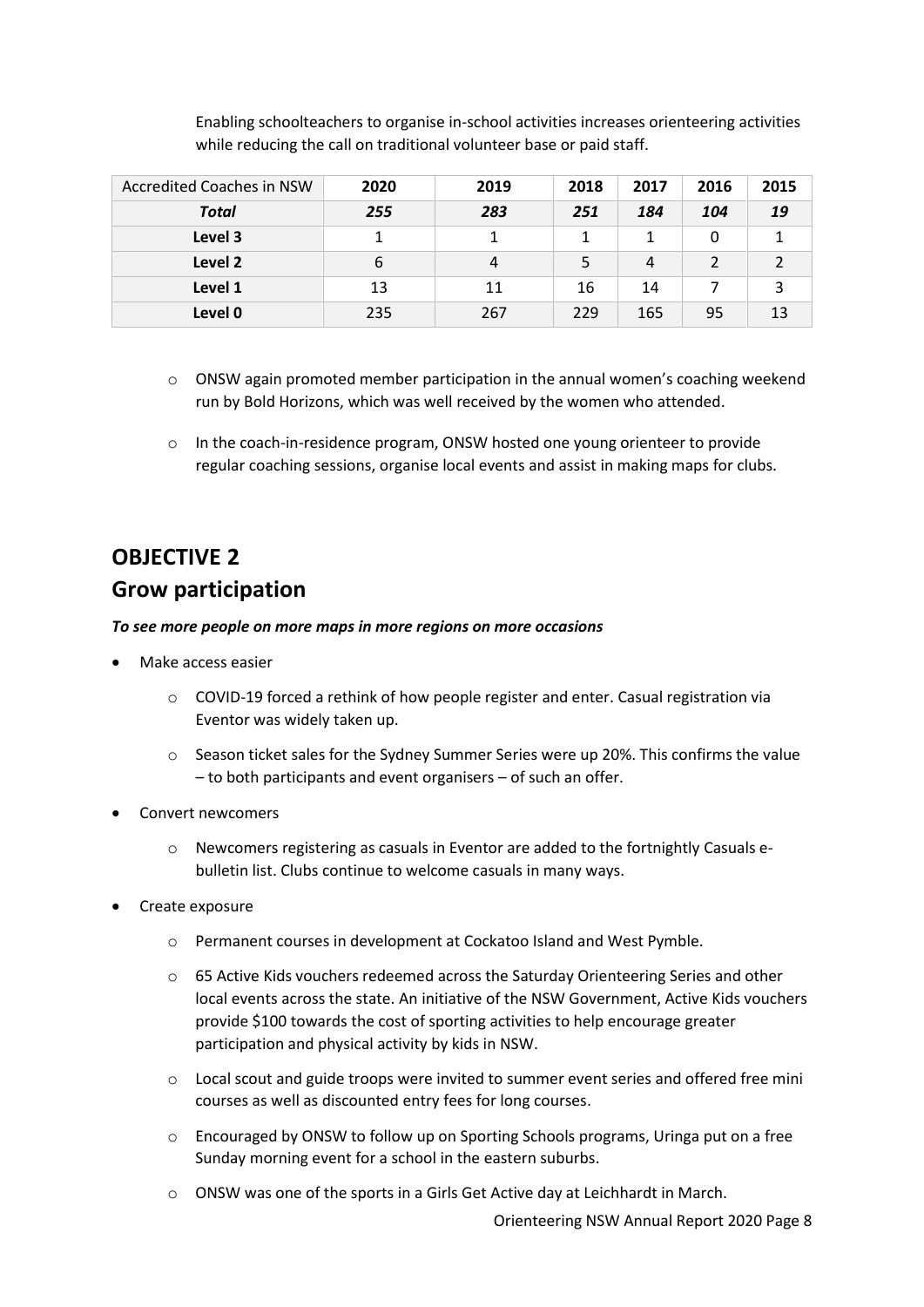| Accredited Coaches in NSW | 2020 | 2019 | 2018 | 2017 | 2016 | 2015 |
|---------------------------|------|------|------|------|------|------|
| Total                     | 255  | 283  | 251  | 184  | 104  | 19   |
| Level 3                   |      | 1    |      |      |      |      |
| Level 2                   | 6    | 4    |      | 4    | ำ    |      |
| Level 1                   | 13   | 11   | 16   | 14   |      |      |
| Level 0                   | 235  | 267  | 229  | 165  | 95   | 13   |

Enabling schoolteachers to organise in-school activities increases orienteering activities while reducing the call on traditional volunteer base or paid staff.

- o ONSW again promoted member participation in the annual women's coaching weekend run by Bold Horizons, which was well received by the women who attended.
- o In the coach-in-residence program, ONSW hosted one young orienteer to provide regular coaching sessions, organise local events and assist in making maps for clubs.

## **OBJECTIVE 2 Grow participation**

#### *To see more people on more maps in more regions on more occasions*

- Make access easier
	- $\circ$  COVID-19 forced a rethink of how people register and enter. Casual registration via Eventor was widely taken up.
	- o Season ticket sales for the Sydney Summer Series were up 20%. This confirms the value – to both participants and event organisers – of such an offer.
- Convert newcomers
	- o Newcomers registering as casuals in Eventor are added to the fortnightly Casuals ebulletin list. Clubs continue to welcome casuals in many ways.
- Create exposure
	- o Permanent courses in development at Cockatoo Island and West Pymble.
	- o 65 Active Kids vouchers redeemed across the Saturday Orienteering Series and other local events across the state. An initiative of the NSW Government, Active Kids vouchers provide \$100 towards the cost of sporting activities to help encourage greater participation and physical activity by kids in NSW.
	- o Local scout and guide troops were invited to summer event series and offered free mini courses as well as discounted entry fees for long courses.
	- o Encouraged by ONSW to follow up on Sporting Schools programs, Uringa put on a free Sunday morning event for a school in the eastern suburbs.
	- o ONSW was one of the sports in a Girls Get Active day at Leichhardt in March.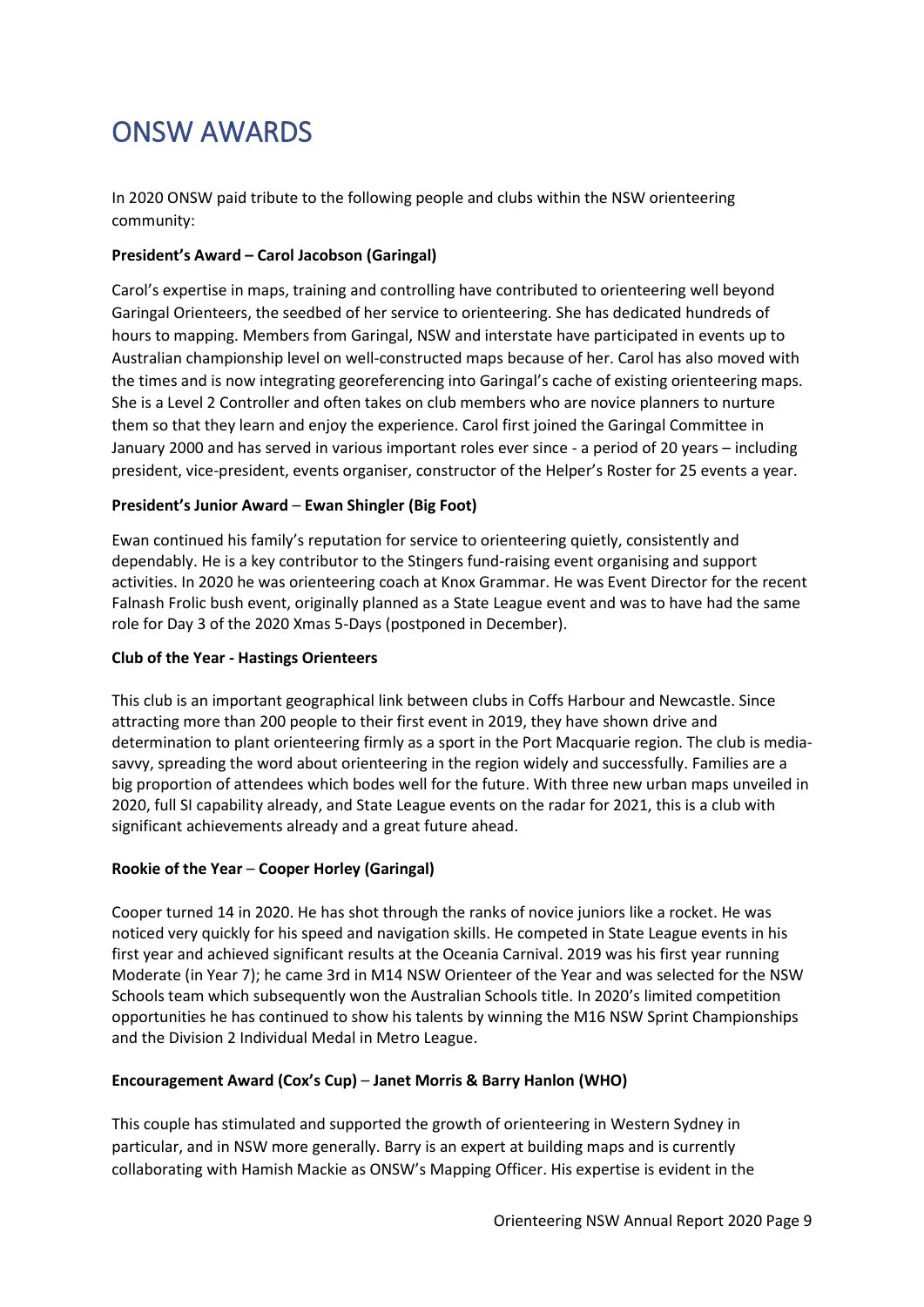## <span id="page-9-0"></span>ONSW AWARDS

In 2020 ONSW paid tribute to the following people and clubs within the NSW orienteering community:

#### **President's Award – Carol Jacobson (Garingal)**

Carol's expertise in maps, training and controlling have contributed to orienteering well beyond Garingal Orienteers, the seedbed of her service to orienteering. She has dedicated hundreds of hours to mapping. Members from Garingal, NSW and interstate have participated in events up to Australian championship level on well-constructed maps because of her. Carol has also moved with the times and is now integrating georeferencing into Garingal's cache of existing orienteering maps. She is a Level 2 Controller and often takes on club members who are novice planners to nurture them so that they learn and enjoy the experience. Carol first joined the Garingal Committee in January 2000 and has served in various important roles ever since - a period of 20 years – including president, vice-president, events organiser, constructor of the Helper's Roster for 25 events a year.

#### **President's Junior Award** – **Ewan Shingler (Big Foot)**

Ewan continued his family's reputation for service to orienteering quietly, consistently and dependably. He is a key contributor to the Stingers fund-raising event organising and support activities. In 2020 he was orienteering coach at Knox Grammar. He was Event Director for the recent Falnash Frolic bush event, originally planned as a State League event and was to have had the same role for Day 3 of the 2020 Xmas 5-Days (postponed in December).

#### **Club of the Year - Hastings Orienteers**

This club is an important geographical link between clubs in Coffs Harbour and Newcastle. Since attracting more than 200 people to their first event in 2019, they have shown drive and determination to plant orienteering firmly as a sport in the Port Macquarie region. The club is mediasavvy, spreading the word about orienteering in the region widely and successfully. Families are a big proportion of attendees which bodes well for the future. With three new urban maps unveiled in 2020, full SI capability already, and State League events on the radar for 2021, this is a club with significant achievements already and a great future ahead.

#### **Rookie of the Year** – **Cooper Horley (Garingal)**

Cooper turned 14 in 2020. He has shot through the ranks of novice juniors like a rocket. He was noticed very quickly for his speed and navigation skills. He competed in State League events in his first year and achieved significant results at the Oceania Carnival. 2019 was his first year running Moderate (in Year 7); he came 3rd in M14 NSW Orienteer of the Year and was selected for the NSW Schools team which subsequently won the Australian Schools title. In 2020's limited competition opportunities he has continued to show his talents by winning the M16 NSW Sprint Championships and the Division 2 Individual Medal in Metro League.

#### **Encouragement Award (Cox's Cup)** – **Janet Morris & Barry Hanlon (WHO)**

This couple has stimulated and supported the growth of orienteering in Western Sydney in particular, and in NSW more generally. Barry is an expert at building maps and is currently collaborating with Hamish Mackie as ONSW's Mapping Officer. His expertise is evident in the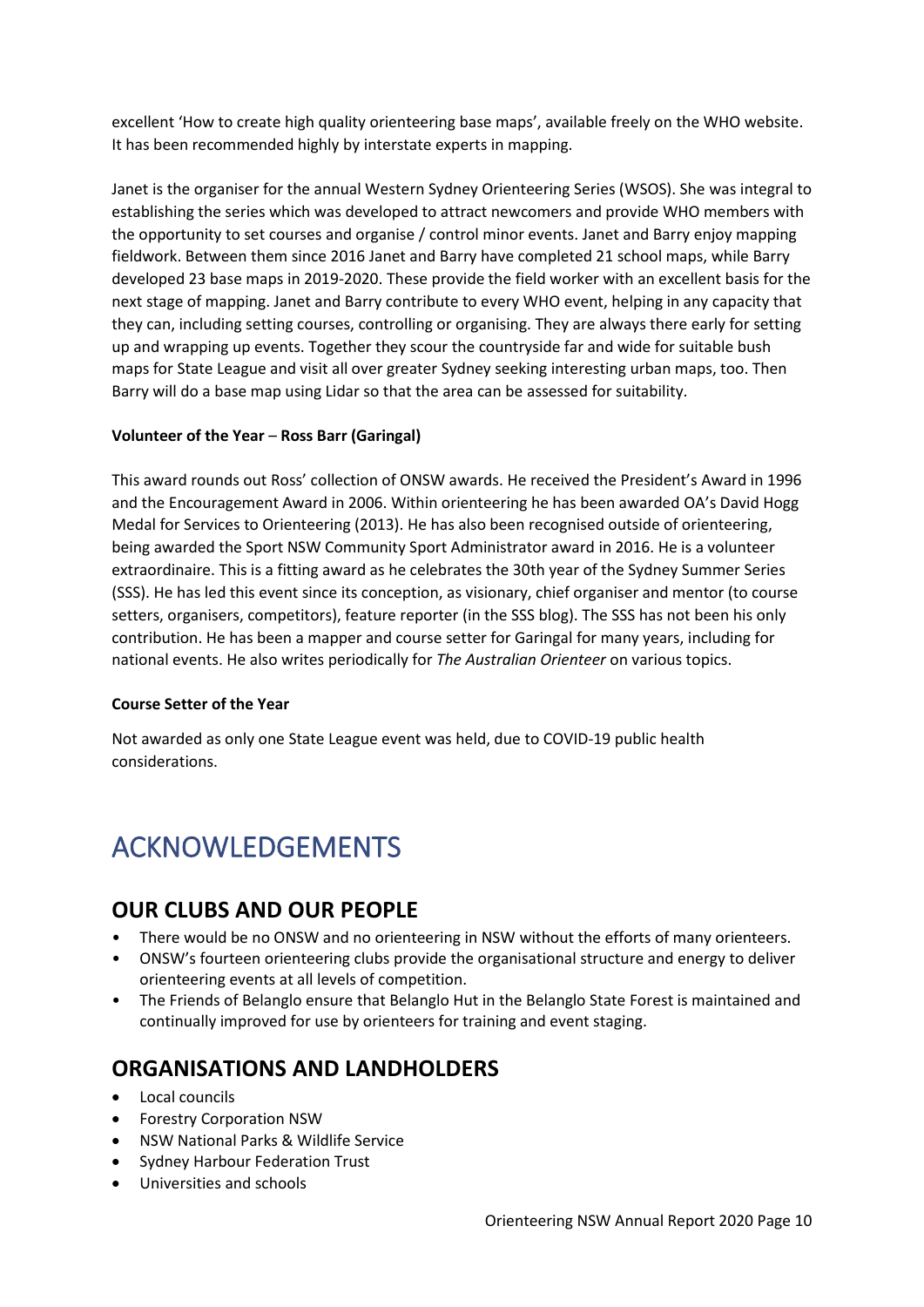excellent 'How to create high quality orienteering base maps', available freely on the WHO website. It has been recommended highly by interstate experts in mapping.

Janet is the organiser for the annual Western Sydney Orienteering Series (WSOS). She was integral to establishing the series which was developed to attract newcomers and provide WHO members with the opportunity to set courses and organise / control minor events. Janet and Barry enjoy mapping fieldwork. Between them since 2016 Janet and Barry have completed 21 school maps, while Barry developed 23 base maps in 2019-2020. These provide the field worker with an excellent basis for the next stage of mapping. Janet and Barry contribute to every WHO event, helping in any capacity that they can, including setting courses, controlling or organising. They are always there early for setting up and wrapping up events. Together they scour the countryside far and wide for suitable bush maps for State League and visit all over greater Sydney seeking interesting urban maps, too. Then Barry will do a base map using Lidar so that the area can be assessed for suitability.

#### **Volunteer of the Year** – **Ross Barr (Garingal)**

This award rounds out Ross' collection of ONSW awards. He received the President's Award in 1996 and the Encouragement Award in 2006. Within orienteering he has been awarded OA's David Hogg Medal for Services to Orienteering (2013). He has also been recognised outside of orienteering, being awarded the Sport NSW Community Sport Administrator award in 2016. He is a volunteer extraordinaire. This is a fitting award as he celebrates the 30th year of the Sydney Summer Series (SSS). He has led this event since its conception, as visionary, chief organiser and mentor (to course setters, organisers, competitors), feature reporter (in the SSS blog). The SSS has not been his only contribution. He has been a mapper and course setter for Garingal for many years, including for national events. He also writes periodically for *The Australian Orienteer* on various topics.

#### **Course Setter of the Year**

Not awarded as only one State League event was held, due to COVID-19 public health considerations.

## <span id="page-10-0"></span>ACKNOWLEDGEMENTS

#### **OUR CLUBS AND OUR PEOPLE**

- There would be no ONSW and no orienteering in NSW without the efforts of many orienteers.
- ONSW's fourteen orienteering clubs provide the organisational structure and energy to deliver orienteering events at all levels of competition.
- The Friends of Belanglo ensure that Belanglo Hut in the Belanglo State Forest is maintained and continually improved for use by orienteers for training and event staging.

## **ORGANISATIONS AND LANDHOLDERS**

- Local councils
- Forestry Corporation NSW
- NSW National Parks & Wildlife Service
- Sydney Harbour Federation Trust
- Universities and schools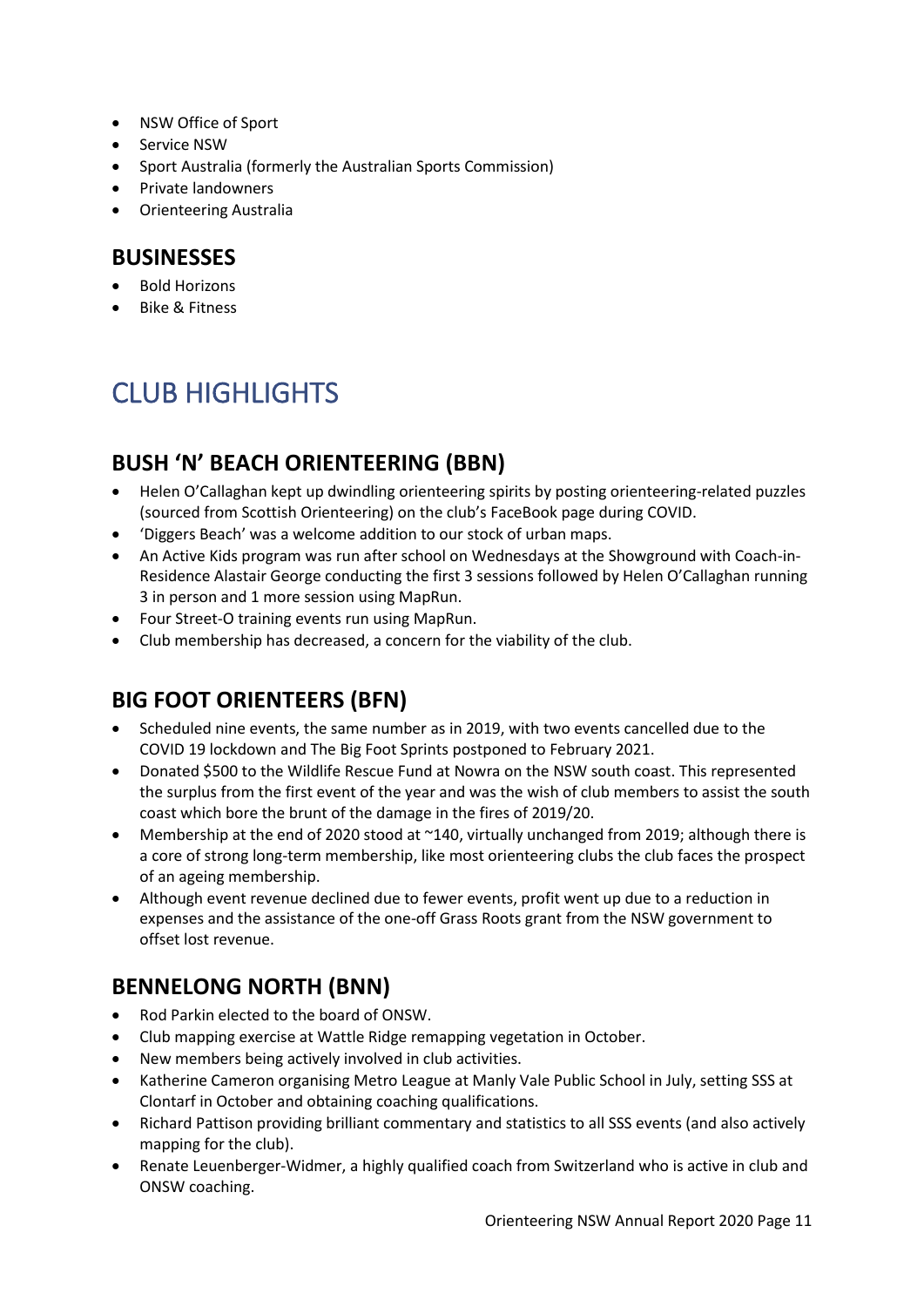- NSW Office of Sport
- Service NSW
- Sport Australia (formerly the Australian Sports Commission)
- Private landowners
- Orienteering Australia

#### **BUSINESSES**

- Bold Horizons
- Bike & Fitness

# <span id="page-11-0"></span>CLUB HIGHLIGHTS

## **BUSH 'N' BEACH ORIENTEERING (BBN)**

- Helen O'Callaghan kept up dwindling orienteering spirits by posting orienteering-related puzzles (sourced from Scottish Orienteering) on the club's FaceBook page during COVID.
- 'Diggers Beach' was a welcome addition to our stock of urban maps.
- An Active Kids program was run after school on Wednesdays at the Showground with Coach-in-Residence Alastair George conducting the first 3 sessions followed by Helen O'Callaghan running 3 in person and 1 more session using MapRun.
- Four Street-O training events run using MapRun.
- Club membership has decreased, a concern for the viability of the club.

## **BIG FOOT ORIENTEERS (BFN)**

- Scheduled nine events, the same number as in 2019, with two events cancelled due to the COVID 19 lockdown and The Big Foot Sprints postponed to February 2021.
- Donated \$500 to the Wildlife Rescue Fund at Nowra on the NSW south coast. This represented the surplus from the first event of the year and was the wish of club members to assist the south coast which bore the brunt of the damage in the fires of 2019/20.
- Membership at the end of 2020 stood at ~140, virtually unchanged from 2019; although there is a core of strong long-term membership, like most orienteering clubs the club faces the prospect of an ageing membership.
- Although event revenue declined due to fewer events, profit went up due to a reduction in expenses and the assistance of the one-off Grass Roots grant from the NSW government to offset lost revenue.

## **BENNELONG NORTH (BNN)**

- Rod Parkin elected to the board of ONSW.
- Club mapping exercise at Wattle Ridge remapping vegetation in October.
- New members being actively involved in club activities.
- Katherine Cameron organising Metro League at Manly Vale Public School in July, setting SSS at Clontarf in October and obtaining coaching qualifications.
- Richard Pattison providing brilliant commentary and statistics to all SSS events (and also actively mapping for the club).
- Renate Leuenberger-Widmer, a highly qualified coach from Switzerland who is active in club and ONSW coaching.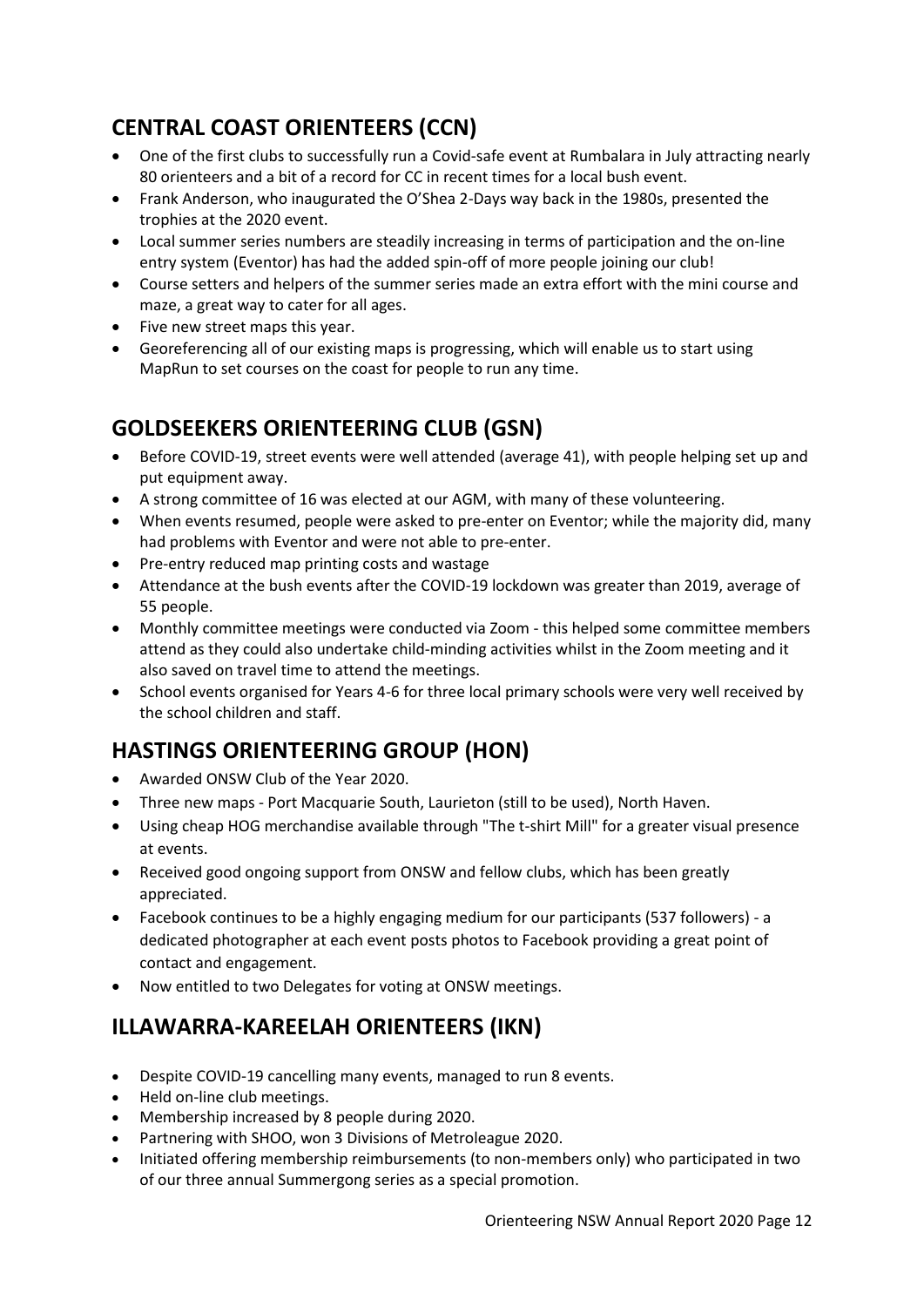## **CENTRAL COAST ORIENTEERS (CCN)**

- One of the first clubs to successfully run a Covid-safe event at Rumbalara in July attracting nearly 80 orienteers and a bit of a record for CC in recent times for a local bush event.
- Frank Anderson, who inaugurated the O'Shea 2-Days way back in the 1980s, presented the trophies at the 2020 event.
- Local summer series numbers are steadily increasing in terms of participation and the on-line entry system (Eventor) has had the added spin-off of more people joining our club!
- Course setters and helpers of the summer series made an extra effort with the mini course and maze, a great way to cater for all ages.
- Five new street maps this year.
- Georeferencing all of our existing maps is progressing, which will enable us to start using MapRun to set courses on the coast for people to run any time.

## **GOLDSEEKERS ORIENTEERING CLUB (GSN)**

- Before COVID-19, street events were well attended (average 41), with people helping set up and put equipment away.
- A strong committee of 16 was elected at our AGM, with many of these volunteering.
- When events resumed, people were asked to pre-enter on Eventor; while the majority did, many had problems with Eventor and were not able to pre-enter.
- Pre-entry reduced map printing costs and wastage
- Attendance at the bush events after the COVID-19 lockdown was greater than 2019, average of 55 people.
- Monthly committee meetings were conducted via Zoom this helped some committee members attend as they could also undertake child-minding activities whilst in the Zoom meeting and it also saved on travel time to attend the meetings.
- School events organised for Years 4-6 for three local primary schools were very well received by the school children and staff.

## **HASTINGS ORIENTEERING GROUP (HON)**

- Awarded ONSW Club of the Year 2020.
- Three new maps Port Macquarie South, Laurieton (still to be used), North Haven.
- Using cheap HOG merchandise available through "The t-shirt Mill" for a greater visual presence at events.
- Received good ongoing support from ONSW and fellow clubs, which has been greatly appreciated.
- Facebook continues to be a highly engaging medium for our participants (537 followers) a dedicated photographer at each event posts photos to Facebook providing a great point of contact and engagement.
- Now entitled to two Delegates for voting at ONSW meetings.

## **ILLAWARRA-KAREELAH ORIENTEERS (IKN)**

- Despite COVID-19 cancelling many events, managed to run 8 events.
- Held on-line club meetings.
- Membership increased by 8 people during 2020.
- Partnering with SHOO, won 3 Divisions of Metroleague 2020.
- Initiated offering membership reimbursements (to non-members only) who participated in two of our three annual Summergong series as a special promotion.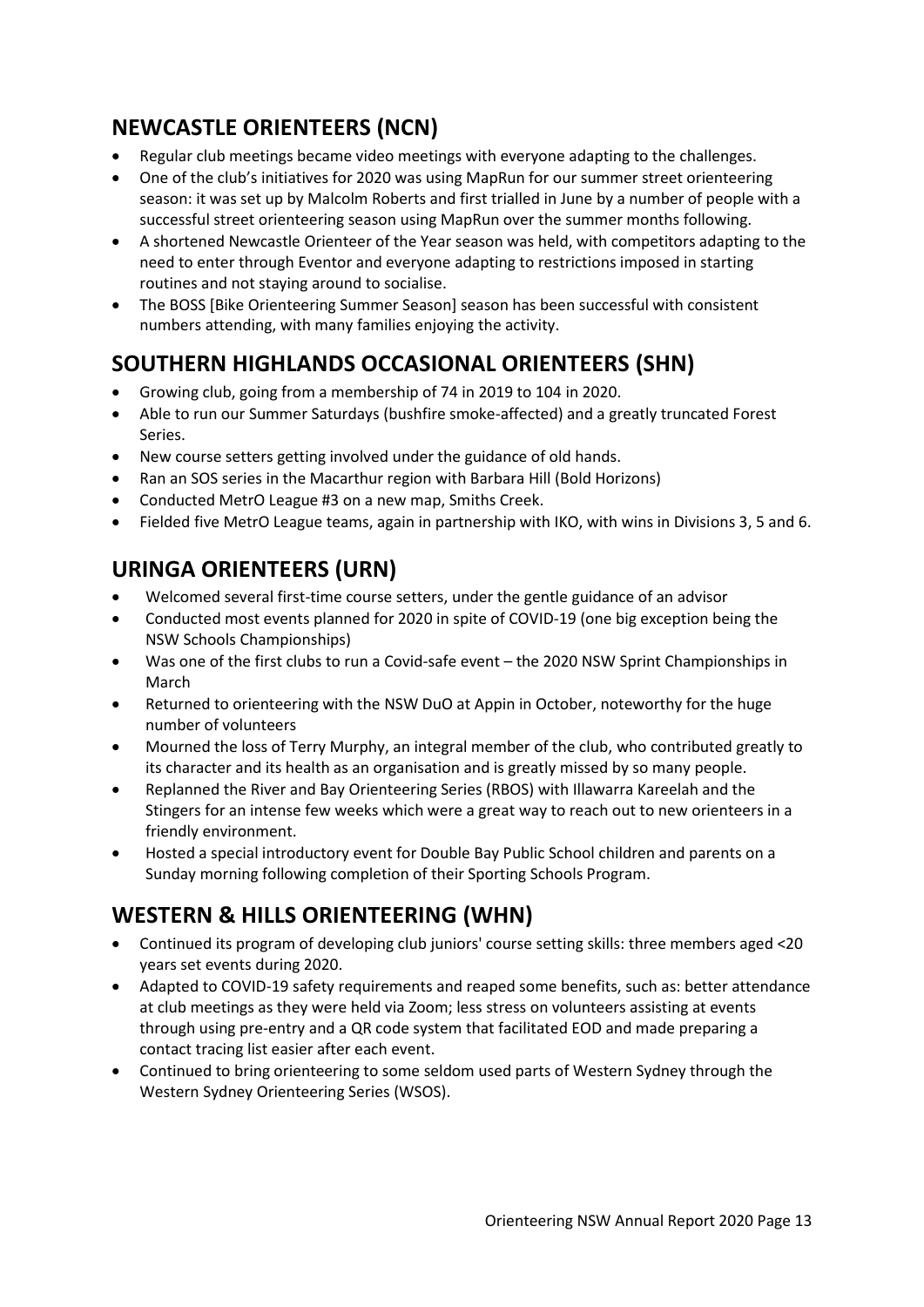## **NEWCASTLE ORIENTEERS (NCN)**

- Regular club meetings became video meetings with everyone adapting to the challenges.
- One of the club's initiatives for 2020 was using MapRun for our summer street orienteering season: it was set up by Malcolm Roberts and first trialled in June by a number of people with a successful street orienteering season using MapRun over the summer months following.
- A shortened Newcastle Orienteer of the Year season was held, with competitors adapting to the need to enter through Eventor and everyone adapting to restrictions imposed in starting routines and not staying around to socialise.
- The BOSS [Bike Orienteering Summer Season] season has been successful with consistent numbers attending, with many families enjoying the activity.

## **SOUTHERN HIGHLANDS OCCASIONAL ORIENTEERS (SHN)**

- Growing club, going from a membership of 74 in 2019 to 104 in 2020.
- Able to run our Summer Saturdays (bushfire smoke-affected) and a greatly truncated Forest Series.
- New course setters getting involved under the guidance of old hands.
- Ran an SOS series in the Macarthur region with Barbara Hill (Bold Horizons)
- Conducted MetrO League #3 on a new map, Smiths Creek.
- Fielded five MetrO League teams, again in partnership with IKO, with wins in Divisions 3, 5 and 6.

## **URINGA ORIENTEERS (URN)**

- Welcomed several first-time course setters, under the gentle guidance of an advisor
- Conducted most events planned for 2020 in spite of COVID-19 (one big exception being the NSW Schools Championships)
- Was one of the first clubs to run a Covid-safe event the 2020 NSW Sprint Championships in March
- Returned to orienteering with the NSW DuO at Appin in October, noteworthy for the huge number of volunteers
- Mourned the loss of Terry Murphy, an integral member of the club, who contributed greatly to its character and its health as an organisation and is greatly missed by so many people.
- Replanned the River and Bay Orienteering Series (RBOS) with Illawarra Kareelah and the Stingers for an intense few weeks which were a great way to reach out to new orienteers in a friendly environment.
- Hosted a special introductory event for Double Bay Public School children and parents on a Sunday morning following completion of their Sporting Schools Program.

## **WESTERN & HILLS ORIENTEERING (WHN)**

- Continued its program of developing club juniors' course setting skills: three members aged <20 years set events during 2020.
- Adapted to COVID-19 safety requirements and reaped some benefits, such as: better attendance at club meetings as they were held via Zoom; less stress on volunteers assisting at events through using pre-entry and a QR code system that facilitated EOD and made preparing a contact tracing list easier after each event.
- Continued to bring orienteering to some seldom used parts of Western Sydney through the Western Sydney Orienteering Series (WSOS).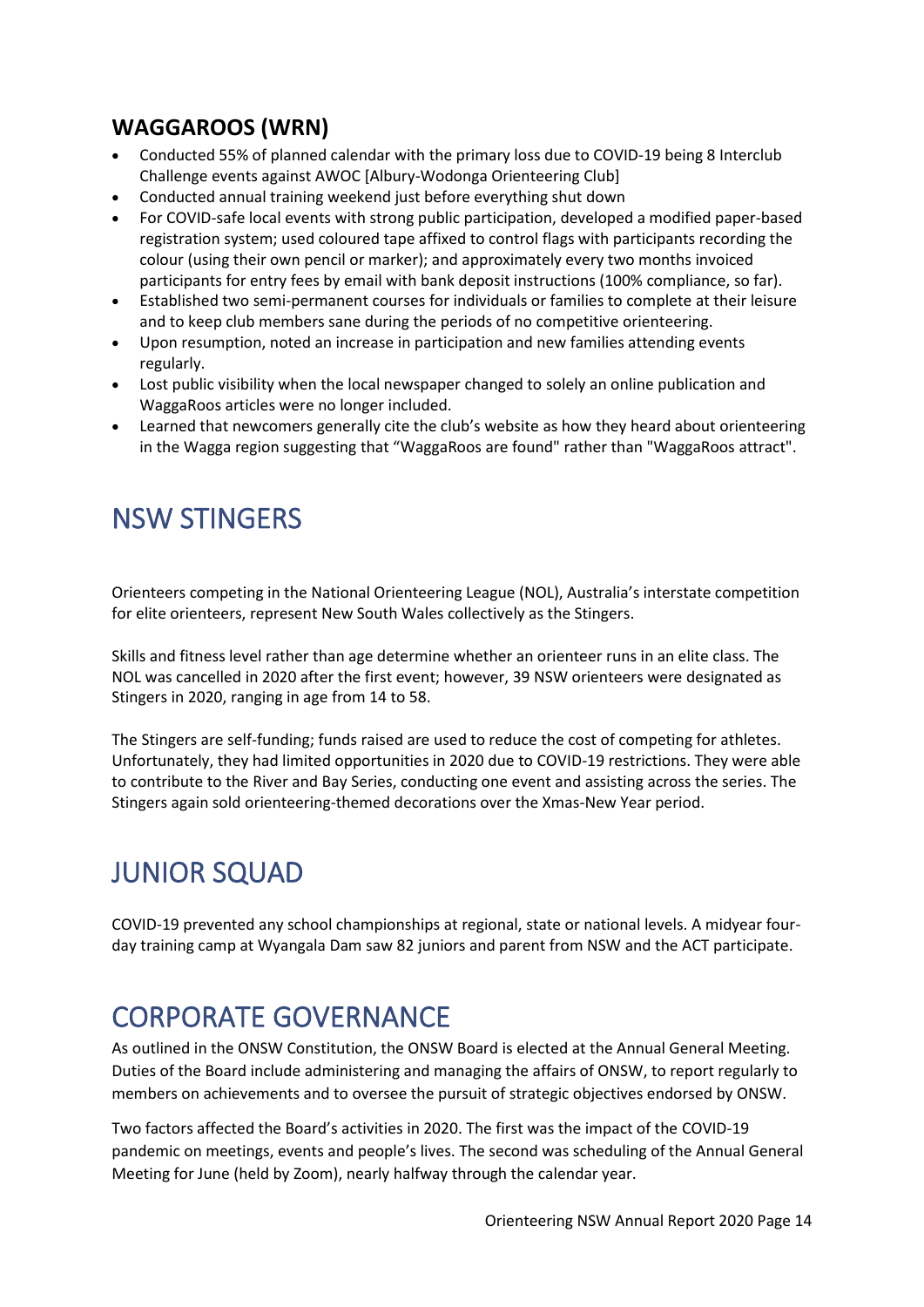## **WAGGAROOS (WRN)**

- Conducted 55% of planned calendar with the primary loss due to COVID-19 being 8 Interclub Challenge events against AWOC [Albury-Wodonga Orienteering Club]
- Conducted annual training weekend just before everything shut down
- For COVID-safe local events with strong public participation, developed a modified paper-based registration system; used coloured tape affixed to control flags with participants recording the colour (using their own pencil or marker); and approximately every two months invoiced participants for entry fees by email with bank deposit instructions (100% compliance, so far).
- Established two semi-permanent courses for individuals or families to complete at their leisure and to keep club members sane during the periods of no competitive orienteering.
- Upon resumption, noted an increase in participation and new families attending events regularly.
- Lost public visibility when the local newspaper changed to solely an online publication and WaggaRoos articles were no longer included.
- Learned that newcomers generally cite the club's website as how they heard about orienteering in the Wagga region suggesting that "WaggaRoos are found" rather than "WaggaRoos attract".

## <span id="page-14-0"></span>NSW STINGERS

Orienteers competing in the National Orienteering League (NOL), Australia's interstate competition for elite orienteers, represent New South Wales collectively as the Stingers.

Skills and fitness level rather than age determine whether an orienteer runs in an elite class. The NOL was cancelled in 2020 after the first event; however, 39 NSW orienteers were designated as Stingers in 2020, ranging in age from 14 to 58.

The Stingers are self-funding; funds raised are used to reduce the cost of competing for athletes. Unfortunately, they had limited opportunities in 2020 due to COVID-19 restrictions. They were able to contribute to the River and Bay Series, conducting one event and assisting across the series. The Stingers again sold orienteering-themed decorations over the Xmas-New Year period.

## <span id="page-14-1"></span>JUNIOR SQUAD

COVID-19 prevented any school championships at regional, state or national levels. A midyear fourday training camp at Wyangala Dam saw 82 juniors and parent from NSW and the ACT participate.

## <span id="page-14-2"></span>CORPORATE GOVERNANCE

As outlined in the ONSW Constitution, the ONSW Board is elected at the Annual General Meeting. Duties of the Board include administering and managing the affairs of ONSW, to report regularly to members on achievements and to oversee the pursuit of strategic objectives endorsed by ONSW.

Two factors affected the Board's activities in 2020. The first was the impact of the COVID-19 pandemic on meetings, events and people's lives. The second was scheduling of the Annual General Meeting for June (held by Zoom), nearly halfway through the calendar year.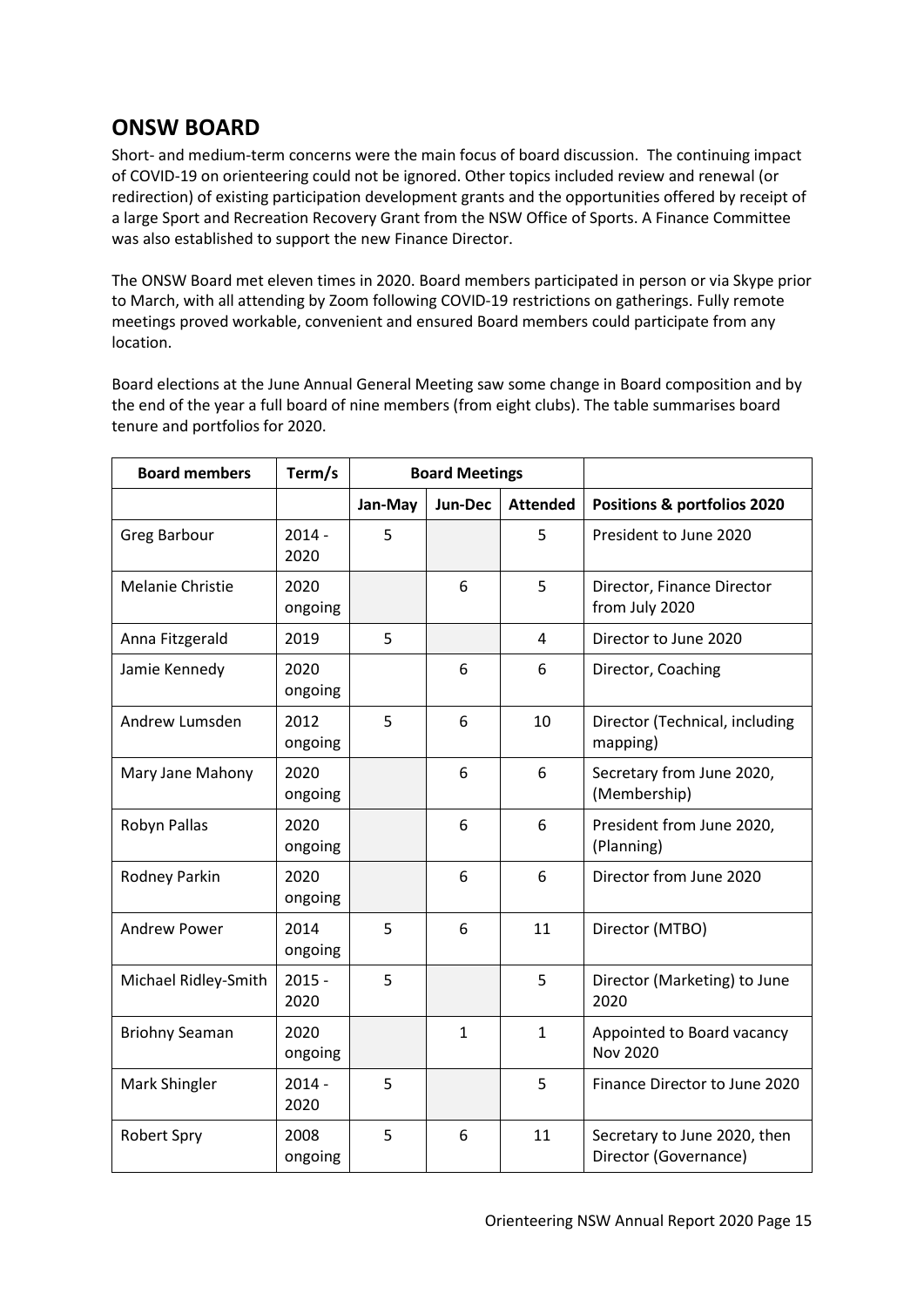## **ONSW BOARD**

Short- and medium-term concerns were the main focus of board discussion. The continuing impact of COVID-19 on orienteering could not be ignored. Other topics included review and renewal (or redirection) of existing participation development grants and the opportunities offered by receipt of a large Sport and Recreation Recovery Grant from the NSW Office of Sports. A Finance Committee was also established to support the new Finance Director.

The ONSW Board met eleven times in 2020. Board members participated in person or via Skype prior to March, with all attending by Zoom following COVID-19 restrictions on gatherings. Fully remote meetings proved workable, convenient and ensured Board members could participate from any location.

Board elections at the June Annual General Meeting saw some change in Board composition and by the end of the year a full board of nine members (from eight clubs). The table summarises board tenure and portfolios for 2020.

| <b>Board members</b>  | Term/s           |         | <b>Board Meetings</b> |                 |                                                       |
|-----------------------|------------------|---------|-----------------------|-----------------|-------------------------------------------------------|
|                       |                  | Jan-May | Jun-Dec               | <b>Attended</b> | <b>Positions &amp; portfolios 2020</b>                |
| <b>Greg Barbour</b>   | $2014 -$<br>2020 | 5       |                       | 5               | President to June 2020                                |
| Melanie Christie      | 2020<br>ongoing  |         | 6                     | 5               | Director, Finance Director<br>from July 2020          |
| Anna Fitzgerald       | 2019             | 5       |                       | $\overline{4}$  | Director to June 2020                                 |
| Jamie Kennedy         | 2020<br>ongoing  |         | 6                     | 6               | Director, Coaching                                    |
| Andrew Lumsden        | 2012<br>ongoing  | 5       | 6                     | 10              | Director (Technical, including<br>mapping)            |
| Mary Jane Mahony      | 2020<br>ongoing  |         | 6                     | 6               | Secretary from June 2020,<br>(Membership)             |
| Robyn Pallas          | 2020<br>ongoing  |         | 6                     | 6               | President from June 2020,<br>(Planning)               |
| Rodney Parkin         | 2020<br>ongoing  |         | 6                     | 6               | Director from June 2020                               |
| <b>Andrew Power</b>   | 2014<br>ongoing  | 5       | 6                     | 11              | Director (MTBO)                                       |
| Michael Ridley-Smith  | $2015 -$<br>2020 | 5       |                       | 5               | Director (Marketing) to June<br>2020                  |
| <b>Briohny Seaman</b> | 2020<br>ongoing  |         | $\mathbf{1}$          | $\mathbf{1}$    | Appointed to Board vacancy<br><b>Nov 2020</b>         |
| Mark Shingler         | $2014 -$<br>2020 | 5       |                       | 5               | Finance Director to June 2020                         |
| <b>Robert Spry</b>    | 2008<br>ongoing  | 5       | 6                     | 11              | Secretary to June 2020, then<br>Director (Governance) |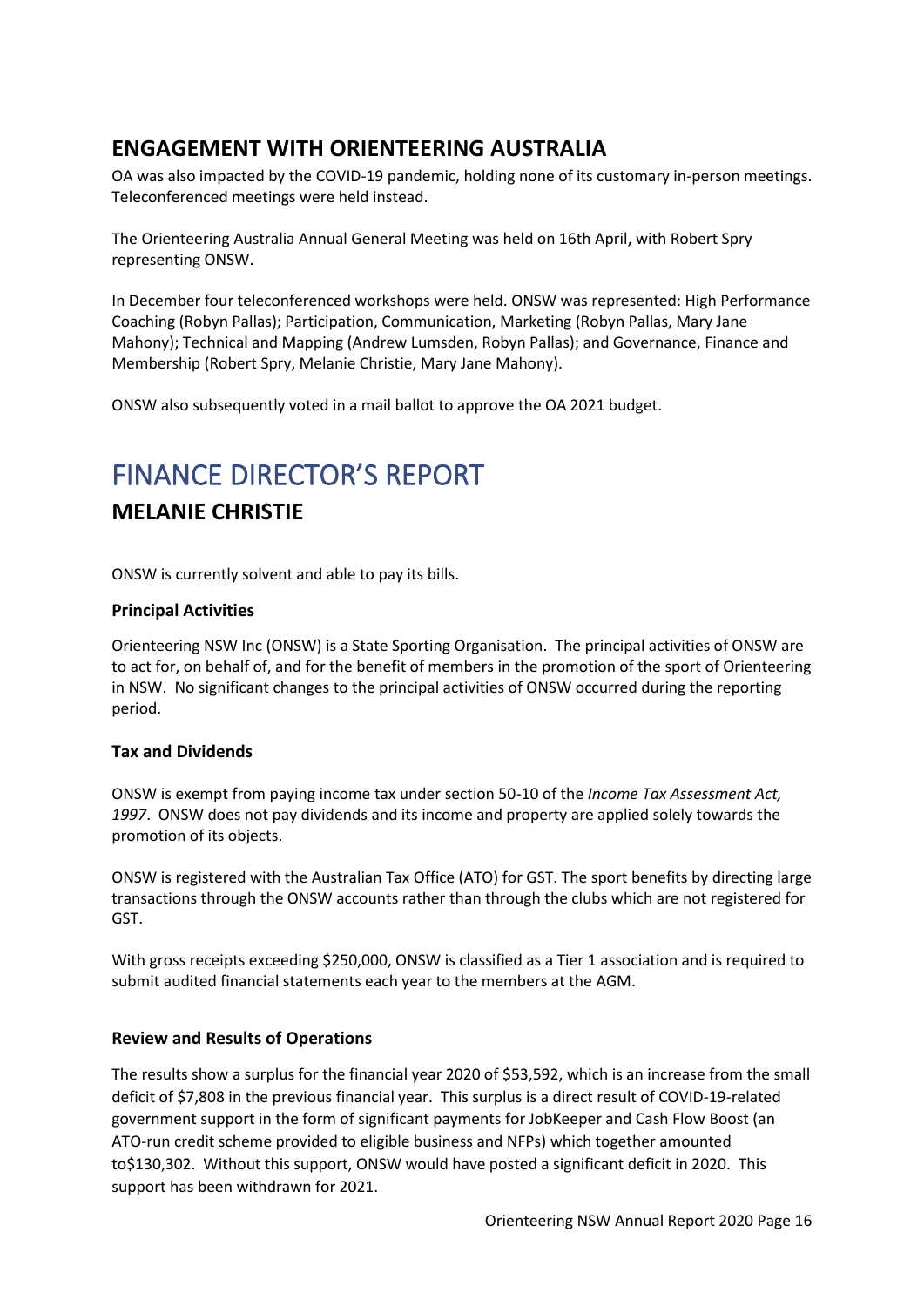## **ENGAGEMENT WITH ORIENTEERING AUSTRALIA**

OA was also impacted by the COVID-19 pandemic, holding none of its customary in-person meetings. Teleconferenced meetings were held instead.

The Orienteering Australia Annual General Meeting was held on 16th April, with Robert Spry representing ONSW.

In December four teleconferenced workshops were held. ONSW was represented: High Performance Coaching (Robyn Pallas); Participation, Communication, Marketing (Robyn Pallas, Mary Jane Mahony); Technical and Mapping (Andrew Lumsden, Robyn Pallas); and Governance, Finance and Membership (Robert Spry, Melanie Christie, Mary Jane Mahony).

ONSW also subsequently voted in a mail ballot to approve the OA 2021 budget.

## <span id="page-16-0"></span>FINANCE DIRECTOR'S REPORT

### **MELANIE CHRISTIE**

ONSW is currently solvent and able to pay its bills.

#### **Principal Activities**

Orienteering NSW Inc (ONSW) is a State Sporting Organisation. The principal activities of ONSW are to act for, on behalf of, and for the benefit of members in the promotion of the sport of Orienteering in NSW. No significant changes to the principal activities of ONSW occurred during the reporting period.

#### **Tax and Dividends**

ONSW is exempt from paying income tax under section 50-10 of the *Income Tax Assessment Act, 1997*. ONSW does not pay dividends and its income and property are applied solely towards the promotion of its objects.

ONSW is registered with the Australian Tax Office (ATO) for GST. The sport benefits by directing large transactions through the ONSW accounts rather than through the clubs which are not registered for GST.

With gross receipts exceeding \$250,000, ONSW is classified as a Tier 1 association and is required to submit audited financial statements each year to the members at the AGM.

#### **Review and Results of Operations**

The results show a surplus for the financial year 2020 of \$53,592, which is an increase from the small deficit of \$7,808 in the previous financial year. This surplus is a direct result of COVID-19-related government support in the form of significant payments for JobKeeper and Cash Flow Boost (an ATO-run credit scheme provided to eligible business and NFPs) which together amounted to\$130,302. Without this support, ONSW would have posted a significant deficit in 2020. This support has been withdrawn for 2021.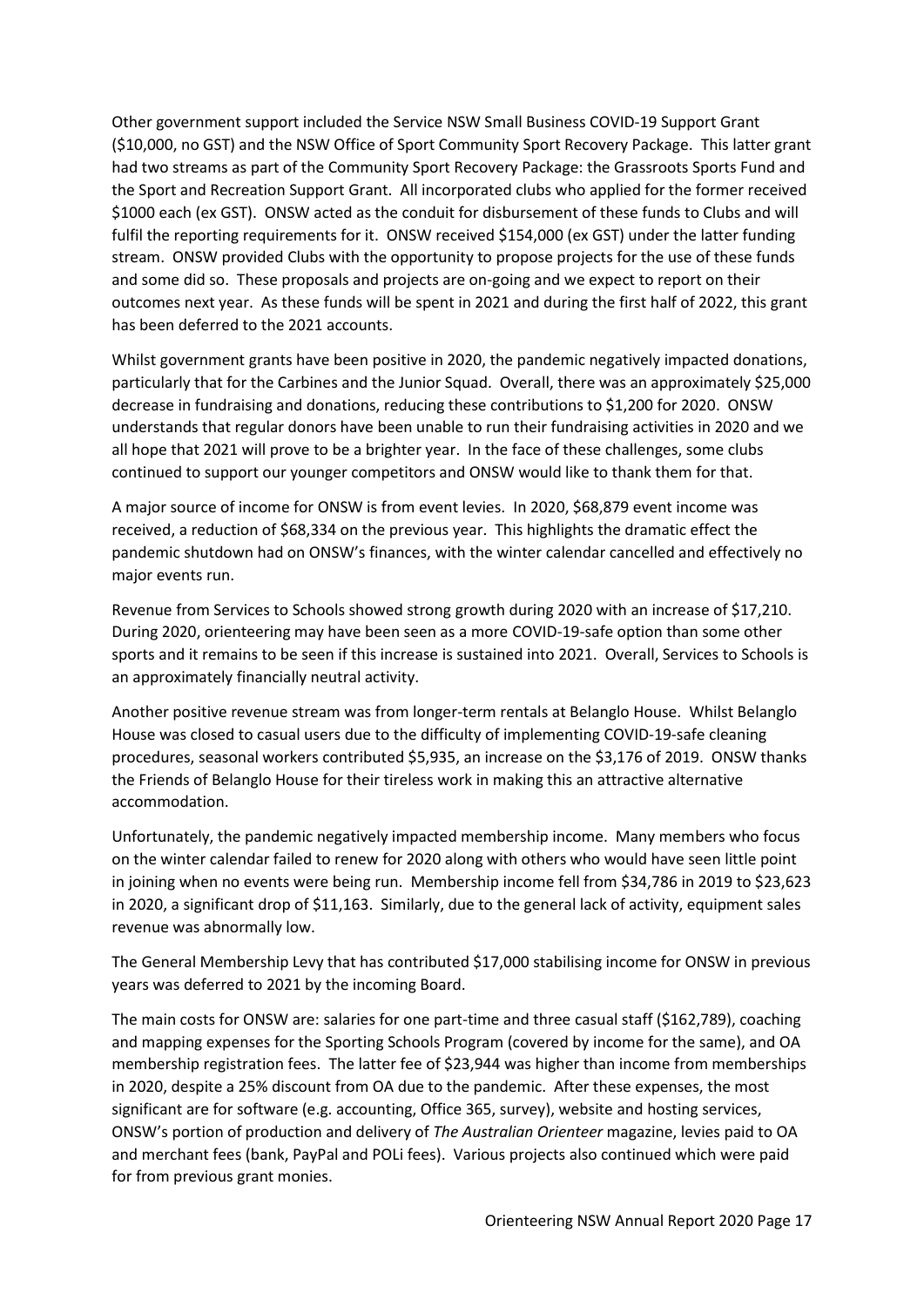Other government support included the Service NSW Small Business COVID-19 Support Grant (\$10,000, no GST) and the NSW Office of Sport Community Sport Recovery Package. This latter grant had two streams as part of the Community Sport Recovery Package: the Grassroots Sports Fund and the Sport and Recreation Support Grant. All incorporated clubs who applied for the former received \$1000 each (ex GST). ONSW acted as the conduit for disbursement of these funds to Clubs and will fulfil the reporting requirements for it. ONSW received \$154,000 (ex GST) under the latter funding stream. ONSW provided Clubs with the opportunity to propose projects for the use of these funds and some did so. These proposals and projects are on-going and we expect to report on their outcomes next year. As these funds will be spent in 2021 and during the first half of 2022, this grant has been deferred to the 2021 accounts.

Whilst government grants have been positive in 2020, the pandemic negatively impacted donations, particularly that for the Carbines and the Junior Squad. Overall, there was an approximately \$25,000 decrease in fundraising and donations, reducing these contributions to \$1,200 for 2020. ONSW understands that regular donors have been unable to run their fundraising activities in 2020 and we all hope that 2021 will prove to be a brighter year. In the face of these challenges, some clubs continued to support our younger competitors and ONSW would like to thank them for that.

A major source of income for ONSW is from event levies. In 2020, \$68,879 event income was received, a reduction of \$68,334 on the previous year. This highlights the dramatic effect the pandemic shutdown had on ONSW's finances, with the winter calendar cancelled and effectively no major events run.

Revenue from Services to Schools showed strong growth during 2020 with an increase of \$17,210. During 2020, orienteering may have been seen as a more COVID-19-safe option than some other sports and it remains to be seen if this increase is sustained into 2021. Overall, Services to Schools is an approximately financially neutral activity.

Another positive revenue stream was from longer-term rentals at Belanglo House. Whilst Belanglo House was closed to casual users due to the difficulty of implementing COVID-19-safe cleaning procedures, seasonal workers contributed \$5,935, an increase on the \$3,176 of 2019. ONSW thanks the Friends of Belanglo House for their tireless work in making this an attractive alternative accommodation.

Unfortunately, the pandemic negatively impacted membership income. Many members who focus on the winter calendar failed to renew for 2020 along with others who would have seen little point in joining when no events were being run. Membership income fell from \$34,786 in 2019 to \$23,623 in 2020, a significant drop of \$11,163. Similarly, due to the general lack of activity, equipment sales revenue was abnormally low.

The General Membership Levy that has contributed \$17,000 stabilising income for ONSW in previous years was deferred to 2021 by the incoming Board.

The main costs for ONSW are: salaries for one part-time and three casual staff (\$162,789), coaching and mapping expenses for the Sporting Schools Program (covered by income for the same), and OA membership registration fees. The latter fee of \$23,944 was higher than income from memberships in 2020, despite a 25% discount from OA due to the pandemic. After these expenses, the most significant are for software (e.g. accounting, Office 365, survey), website and hosting services, ONSW's portion of production and delivery of *The Australian Orienteer* magazine, levies paid to OA and merchant fees (bank, PayPal and POLi fees). Various projects also continued which were paid for from previous grant monies.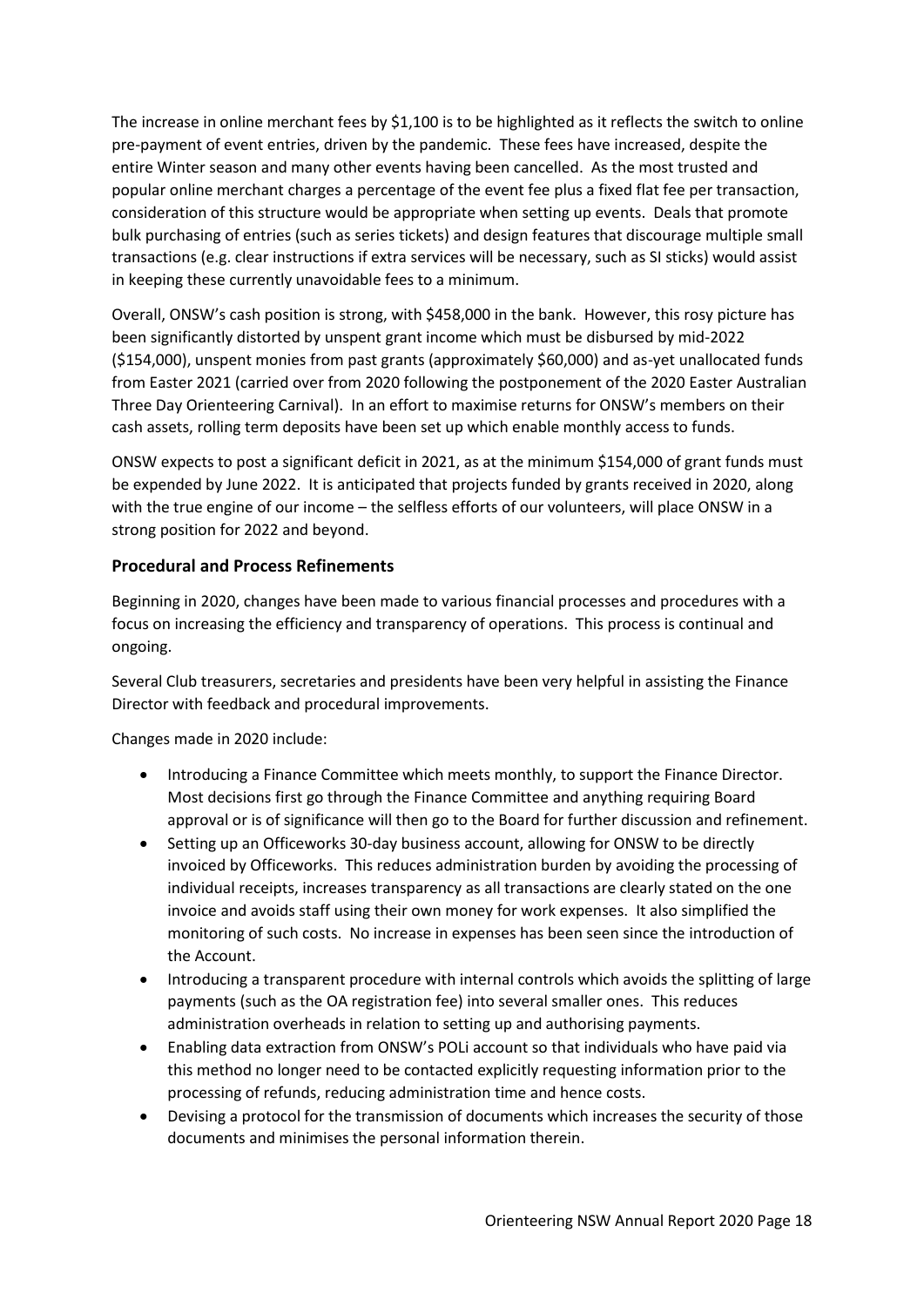The increase in online merchant fees by \$1,100 is to be highlighted as it reflects the switch to online pre-payment of event entries, driven by the pandemic. These fees have increased, despite the entire Winter season and many other events having been cancelled. As the most trusted and popular online merchant charges a percentage of the event fee plus a fixed flat fee per transaction, consideration of this structure would be appropriate when setting up events. Deals that promote bulk purchasing of entries (such as series tickets) and design features that discourage multiple small transactions (e.g. clear instructions if extra services will be necessary, such as SI sticks) would assist in keeping these currently unavoidable fees to a minimum.

Overall, ONSW's cash position is strong, with \$458,000 in the bank. However, this rosy picture has been significantly distorted by unspent grant income which must be disbursed by mid-2022 (\$154,000), unspent monies from past grants (approximately \$60,000) and as-yet unallocated funds from Easter 2021 (carried over from 2020 following the postponement of the 2020 Easter Australian Three Day Orienteering Carnival). In an effort to maximise returns for ONSW's members on their cash assets, rolling term deposits have been set up which enable monthly access to funds.

ONSW expects to post a significant deficit in 2021, as at the minimum \$154,000 of grant funds must be expended by June 2022. It is anticipated that projects funded by grants received in 2020, along with the true engine of our income – the selfless efforts of our volunteers, will place ONSW in a strong position for 2022 and beyond.

#### **Procedural and Process Refinements**

Beginning in 2020, changes have been made to various financial processes and procedures with a focus on increasing the efficiency and transparency of operations. This process is continual and ongoing.

Several Club treasurers, secretaries and presidents have been very helpful in assisting the Finance Director with feedback and procedural improvements.

Changes made in 2020 include:

- Introducing a Finance Committee which meets monthly, to support the Finance Director. Most decisions first go through the Finance Committee and anything requiring Board approval or is of significance will then go to the Board for further discussion and refinement.
- Setting up an Officeworks 30-day business account, allowing for ONSW to be directly invoiced by Officeworks. This reduces administration burden by avoiding the processing of individual receipts, increases transparency as all transactions are clearly stated on the one invoice and avoids staff using their own money for work expenses. It also simplified the monitoring of such costs. No increase in expenses has been seen since the introduction of the Account.
- Introducing a transparent procedure with internal controls which avoids the splitting of large payments (such as the OA registration fee) into several smaller ones. This reduces administration overheads in relation to setting up and authorising payments.
- Enabling data extraction from ONSW's POLi account so that individuals who have paid via this method no longer need to be contacted explicitly requesting information prior to the processing of refunds, reducing administration time and hence costs.
- Devising a protocol for the transmission of documents which increases the security of those documents and minimises the personal information therein.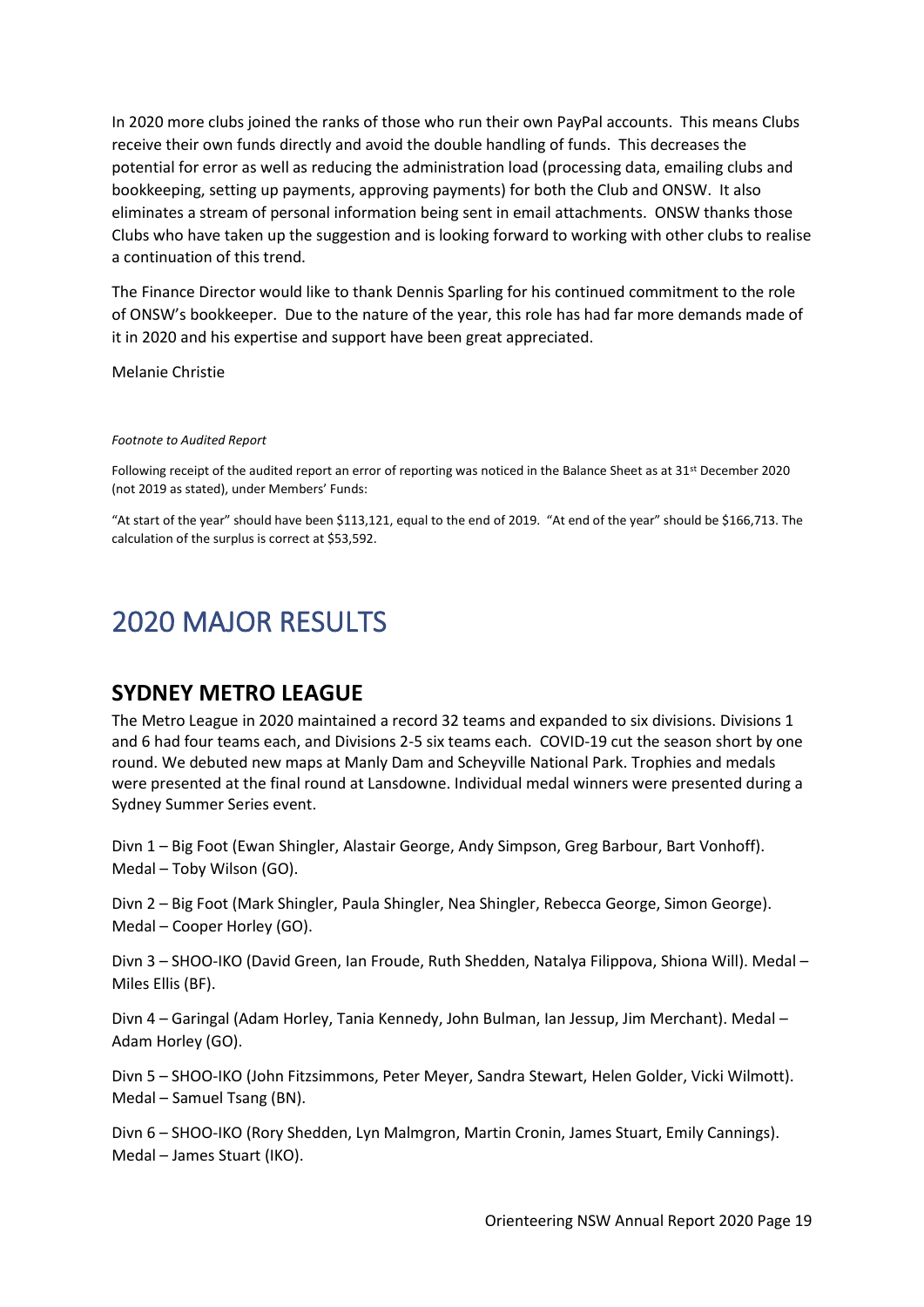In 2020 more clubs joined the ranks of those who run their own PayPal accounts. This means Clubs receive their own funds directly and avoid the double handling of funds. This decreases the potential for error as well as reducing the administration load (processing data, emailing clubs and bookkeeping, setting up payments, approving payments) for both the Club and ONSW. It also eliminates a stream of personal information being sent in email attachments. ONSW thanks those Clubs who have taken up the suggestion and is looking forward to working with other clubs to realise a continuation of this trend.

The Finance Director would like to thank Dennis Sparling for his continued commitment to the role of ONSW's bookkeeper. Due to the nature of the year, this role has had far more demands made of it in 2020 and his expertise and support have been great appreciated.

Melanie Christie

#### *Footnote to Audited Report*

Following receipt of the audited report an error of reporting was noticed in the Balance Sheet as at 31<sup>st</sup> December 2020 (not 2019 as stated), under Members' Funds:

"At start of the year" should have been \$113,121, equal to the end of 2019. "At end of the year" should be \$166,713. The calculation of the surplus is correct at \$53,592.

## <span id="page-19-0"></span>2020 MAJOR RESULTS

#### **SYDNEY METRO LEAGUE**

The Metro League in 2020 maintained a record 32 teams and expanded to six divisions. Divisions 1 and 6 had four teams each, and Divisions 2-5 six teams each. COVID-19 cut the season short by one round. We debuted new maps at Manly Dam and Scheyville National Park. Trophies and medals were presented at the final round at Lansdowne. Individual medal winners were presented during a Sydney Summer Series event.

Divn 1 – Big Foot (Ewan Shingler, Alastair George, Andy Simpson, Greg Barbour, Bart Vonhoff). Medal – Toby Wilson (GO).

Divn 2 – Big Foot (Mark Shingler, Paula Shingler, Nea Shingler, Rebecca George, Simon George). Medal – Cooper Horley (GO).

Divn 3 – SHOO-IKO (David Green, Ian Froude, Ruth Shedden, Natalya Filippova, Shiona Will). Medal – Miles Ellis (BF).

Divn 4 – Garingal (Adam Horley, Tania Kennedy, John Bulman, Ian Jessup, Jim Merchant). Medal – Adam Horley (GO).

Divn 5 – SHOO-IKO (John Fitzsimmons, Peter Meyer, Sandra Stewart, Helen Golder, Vicki Wilmott). Medal – Samuel Tsang (BN).

Divn 6 – SHOO-IKO (Rory Shedden, Lyn Malmgron, Martin Cronin, James Stuart, Emily Cannings). Medal – James Stuart (IKO).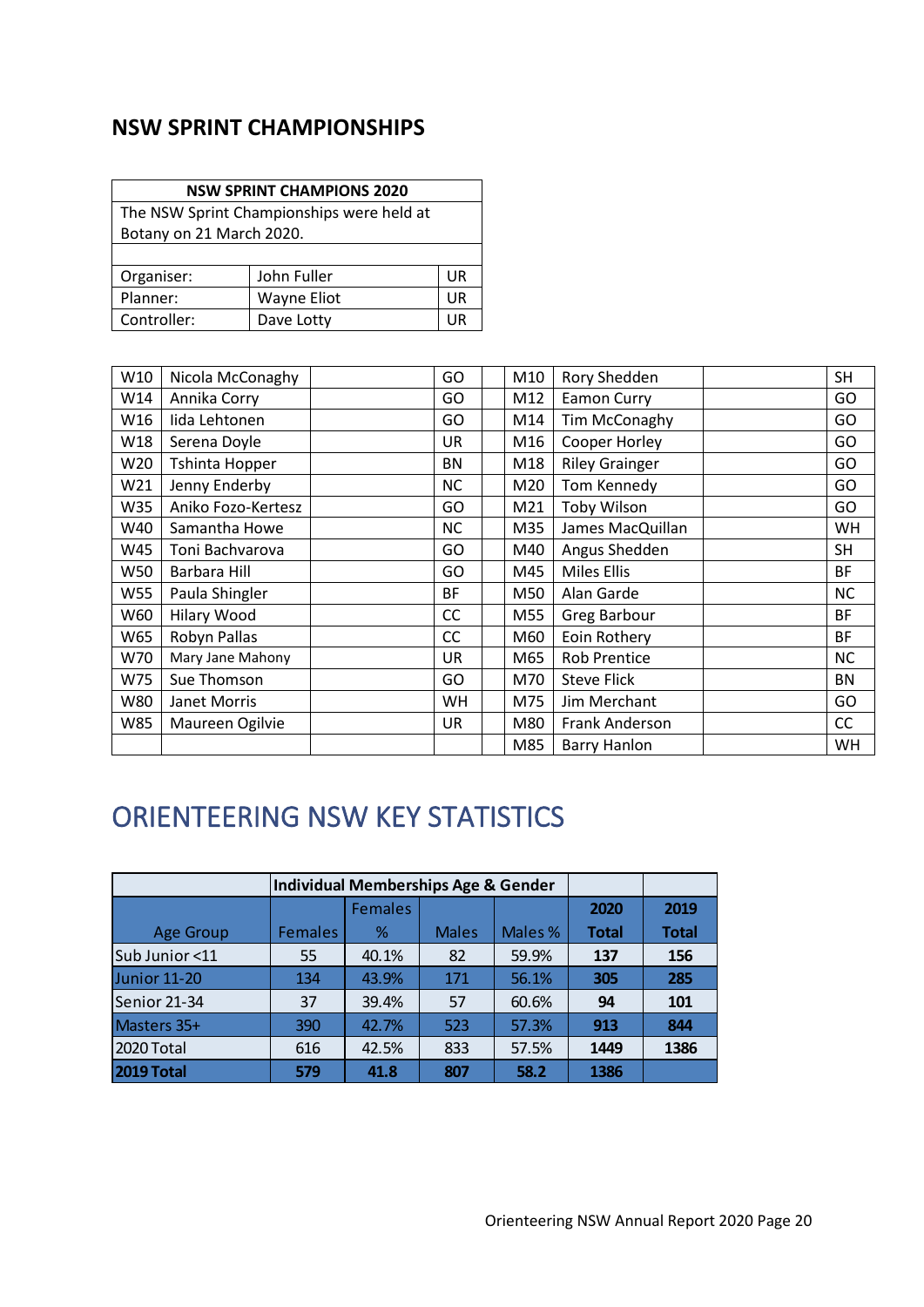## **NSW SPRINT CHAMPIONSHIPS**

| <b>NSW SPRINT CHAMPIONS 2020</b>          |             |    |  |  |  |  |  |
|-------------------------------------------|-------------|----|--|--|--|--|--|
| The NSW Sprint Championships were held at |             |    |  |  |  |  |  |
| Botany on 21 March 2020.                  |             |    |  |  |  |  |  |
|                                           |             |    |  |  |  |  |  |
| Organiser:                                | John Fuller | UR |  |  |  |  |  |
| Planner:                                  | Wayne Eliot | UR |  |  |  |  |  |
| Controller:                               | Dave Lotty  | UR |  |  |  |  |  |

| W10 | Nicola McConaghy   | GO        | M10 | Rory Shedden          | <b>SH</b> |
|-----|--------------------|-----------|-----|-----------------------|-----------|
| W14 | Annika Corry       | GO        | M12 | <b>Eamon Curry</b>    | GO        |
| W16 | Iida Lehtonen      | GO        | M14 | Tim McConaghy         | GO        |
| W18 | Serena Doyle       | <b>UR</b> | M16 | Cooper Horley         | GO        |
| W20 | Tshinta Hopper     | <b>BN</b> | M18 | <b>Riley Grainger</b> | GO        |
| W21 | Jenny Enderby      | <b>NC</b> | M20 | Tom Kennedy           | GO        |
| W35 | Aniko Fozo-Kertesz | GO        | M21 | Toby Wilson           | GO        |
| W40 | Samantha Howe      | <b>NC</b> | M35 | James MacQuillan      | WH        |
| W45 | Toni Bachvarova    | GO        | M40 | Angus Shedden         | <b>SH</b> |
| W50 | Barbara Hill       | GO        | M45 | <b>Miles Ellis</b>    | <b>BF</b> |
| W55 | Paula Shingler     | <b>BF</b> | M50 | Alan Garde            | <b>NC</b> |
| W60 | Hilary Wood        | CC        | M55 | <b>Greg Barbour</b>   | <b>BF</b> |
| W65 | Robyn Pallas       | CC        | M60 | Eoin Rothery          | <b>BF</b> |
| W70 | Mary Jane Mahony   | <b>UR</b> | M65 | <b>Rob Prentice</b>   | <b>NC</b> |
| W75 | Sue Thomson        | GO        | M70 | <b>Steve Flick</b>    | BN        |
| W80 | Janet Morris       | WH        | M75 | Jim Merchant          | GO        |
| W85 | Maureen Ogilvie    | <b>UR</b> | M80 | <b>Frank Anderson</b> | <b>CC</b> |
|     |                    |           | M85 | <b>Barry Hanlon</b>   | WH        |

## <span id="page-20-0"></span>ORIENTEERING NSW KEY STATISTICS

|                   |                | Individual Memberships Age & Gender |              |         |              |              |
|-------------------|----------------|-------------------------------------|--------------|---------|--------------|--------------|
|                   |                | <b>Females</b>                      |              |         | 2020         | 2019         |
| <b>Age Group</b>  | <b>Females</b> | %                                   | <b>Males</b> | Males % | <b>Total</b> | <b>Total</b> |
| Sub Junior <11    | 55             | 40.1%                               | 82           | 59.9%   | 137          | 156          |
| Junior 11-20      | 134            | 43.9%                               | 171          | 56.1%   | 305          | 285          |
| Senior 21-34      | 37             | 39.4%                               | 57           | 60.6%   | 94           | 101          |
| Masters 35+       | 390            | 42.7%                               | 523          | 57.3%   | 913          | 844          |
| 2020 Total        | 616            | 42.5%                               | 833          | 57.5%   | 1449         | 1386         |
| <b>2019 Total</b> | 579            | 41.8                                | 807          | 58.2    | 1386         |              |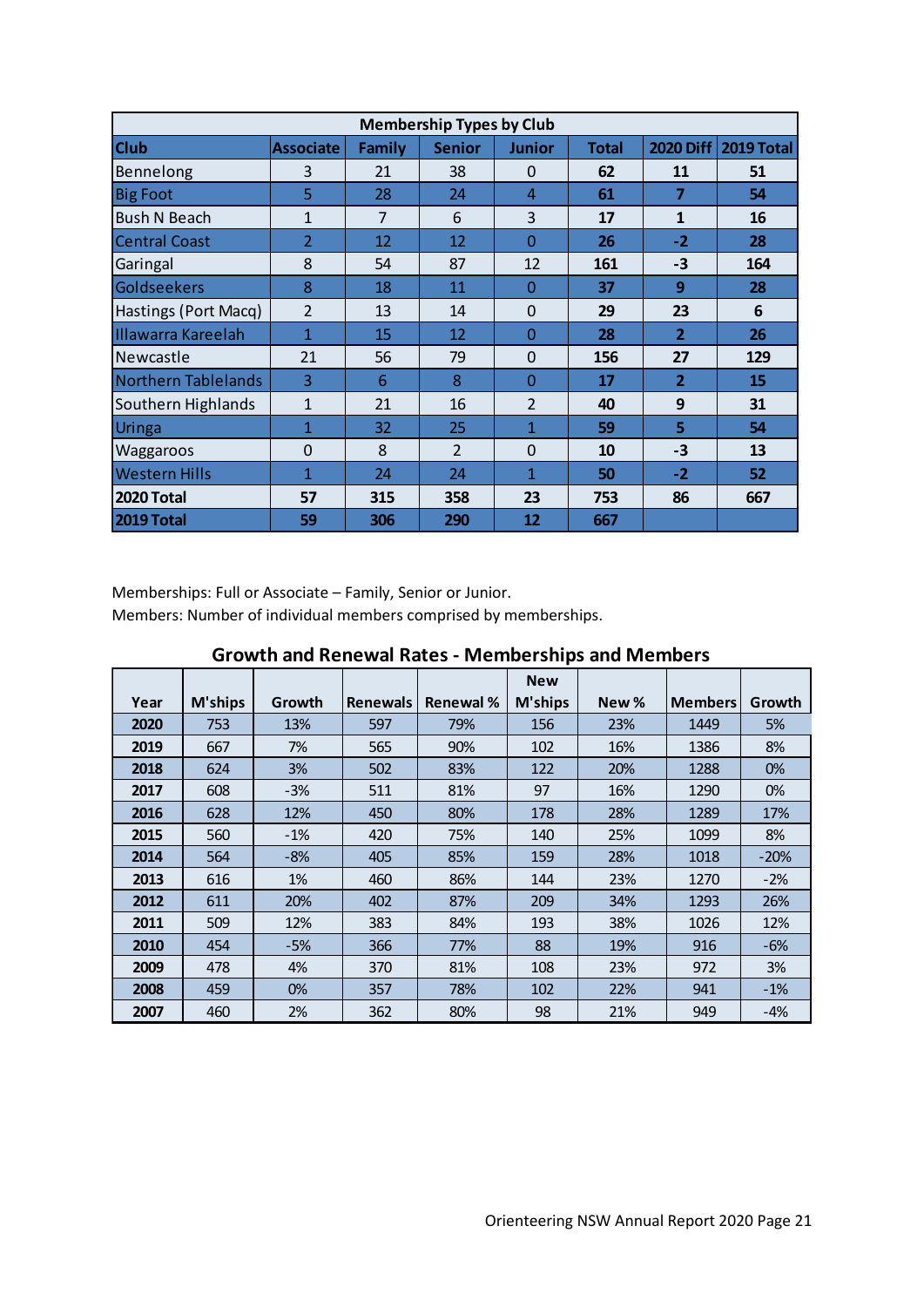|                            |                  |                | <b>Membership Types by Club</b> |                |              |                  |                   |
|----------------------------|------------------|----------------|---------------------------------|----------------|--------------|------------------|-------------------|
| <b>Club</b>                | <b>Associate</b> | <b>Family</b>  | <b>Senior</b>                   | <b>Junior</b>  | <b>Total</b> | <b>2020 Diff</b> | <b>2019 Total</b> |
| Bennelong                  | 3                | 21             | 38                              | $\Omega$       | 62           | 11               | 51                |
| <b>Big Foot</b>            | 5                | 28             | 24                              | $\overline{4}$ | 61           | $\overline{7}$   | 54                |
| <b>Bush N Beach</b>        | $\mathbf{1}$     | $\overline{7}$ | 6                               | 3              | 17           | $\mathbf{1}$     | 16                |
| <b>Central Coast</b>       | $\overline{2}$   | 12             | 12                              | $\Omega$       | 26           | $-2$             | 28                |
| Garingal                   | 8                | 54             | 87                              | 12             | 161          | $-3$             | 164               |
| Goldseekers                | 8                | 18             | 11                              | 0              | 37           | 9                | 28                |
| Hastings (Port Macq)       | $\overline{2}$   | 13             | 14                              | $\Omega$       | 29           | 23               | 6                 |
| Illawarra Kareelah         | $\mathbf{1}$     | 15             | 12                              | $\Omega$       | 28           | $\overline{2}$   | 26                |
| Newcastle                  | 21               | 56             | 79                              | $\Omega$       | 156          | 27               | 129               |
| <b>Northern Tablelands</b> | 3                | 6              | 8                               | $\Omega$       | 17           | $\overline{2}$   | 15                |
| Southern Highlands         | $\mathbf{1}$     | 21             | 16                              | $\overline{2}$ | 40           | 9                | 31                |
| <b>Uringa</b>              | 1                | 32             | 25                              | $\mathbf{1}$   | 59           | 5                | 54                |
| Waggaroos                  | $\Omega$         | 8              | $\mathcal{P}$                   | $\Omega$       | 10           | -3               | 13                |
| <b>Western Hills</b>       | 1                | 24             | 24                              | 1              | 50           | $-2$             | 52                |
| 2020 Total                 | 57               | 315            | 358                             | 23             | 753          | 86               | 667               |
| <b>2019 Total</b>          | 59               | 306            | 290                             | 12             | 667          |                  |                   |

Memberships: Full or Associate – Family, Senior or Junior.

Members: Number of individual members comprised by memberships.

|      |         |        |                 | <u>UI UWEIT GITU INCHICWUI INAECS TWICHING ISHING AHU IWEITING IS</u> |            |       |                |        |
|------|---------|--------|-----------------|-----------------------------------------------------------------------|------------|-------|----------------|--------|
|      |         |        |                 |                                                                       | <b>New</b> |       |                |        |
| Year | M'ships | Growth | <b>Renewals</b> | <b>Renewal</b> %                                                      | M'ships    | New % | <b>Members</b> | Growth |
| 2020 | 753     | 13%    | 597             | 79%                                                                   | 156        | 23%   | 1449           | 5%     |
| 2019 | 667     | 7%     | 565             | 90%                                                                   | 102        | 16%   | 1386           | 8%     |
| 2018 | 624     | 3%     | 502             | 83%                                                                   | 122        | 20%   | 1288           | 0%     |
| 2017 | 608     | $-3%$  | 511             | 81%                                                                   | 97         | 16%   | 1290           | 0%     |
| 2016 | 628     | 12%    | 450             | 80%                                                                   | 178        | 28%   | 1289           | 17%    |
| 2015 | 560     | $-1%$  | 420             | 75%                                                                   | 140        | 25%   | 1099           | 8%     |
| 2014 | 564     | $-8%$  | 405             | 85%                                                                   | 159        | 28%   | 1018           | $-20%$ |
| 2013 | 616     | 1%     | 460             | 86%                                                                   | 144        | 23%   | 1270           | $-2%$  |
| 2012 | 611     | 20%    | 402             | 87%                                                                   | 209        | 34%   | 1293           | 26%    |
| 2011 | 509     | 12%    | 383             | 84%                                                                   | 193        | 38%   | 1026           | 12%    |
| 2010 | 454     | $-5%$  | 366             | 77%                                                                   | 88         | 19%   | 916            | $-6%$  |
| 2009 | 478     | 4%     | 370             | 81%                                                                   | 108        | 23%   | 972            | 3%     |
| 2008 | 459     | 0%     | 357             | 78%                                                                   | 102        | 22%   | 941            | $-1%$  |
| 2007 | 460     | 2%     | 362             | 80%                                                                   | 98         | 21%   | 949            | $-4%$  |

#### **Growth and Renewal Rates - Memberships and Members**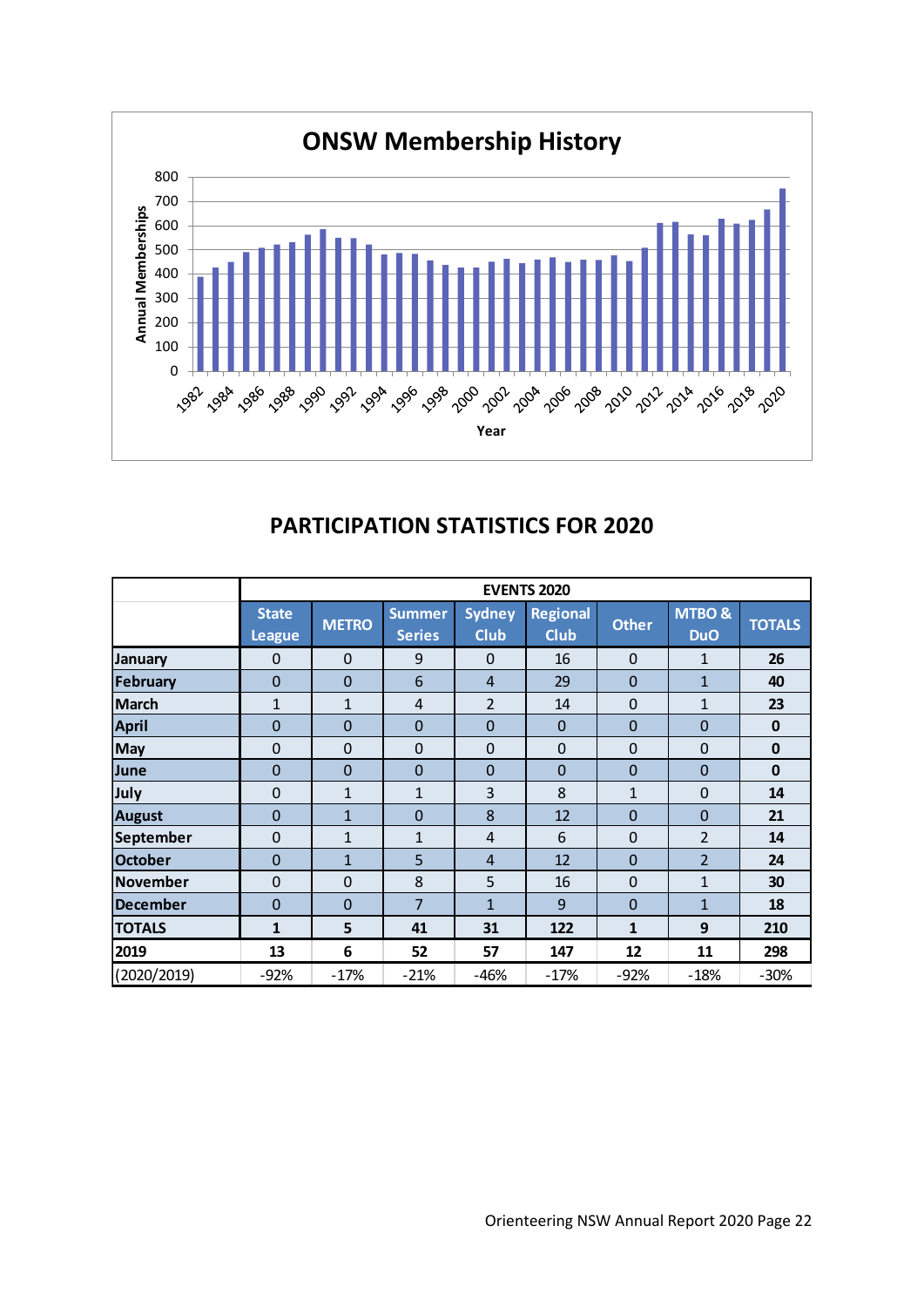

## **PARTICIPATION STATISTICS FOR 2020**

|                 |                               |              |                                |                              | <b>EVENTS 2020</b>             |              |                                 |               |
|-----------------|-------------------------------|--------------|--------------------------------|------------------------------|--------------------------------|--------------|---------------------------------|---------------|
|                 | <b>State</b><br><b>League</b> | <b>METRO</b> | <b>Summer</b><br><b>Series</b> | <b>Sydney</b><br><b>Club</b> | <b>Regional</b><br><b>Club</b> | <b>Other</b> | <b>MTBO &amp;</b><br><b>DuO</b> | <b>TOTALS</b> |
| <b>January</b>  | $\mathbf 0$                   | $\mathbf 0$  | 9                              | $\mathbf 0$                  | 16                             | $\mathbf 0$  | $\mathbf{1}$                    | 26            |
| February        | $\mathbf 0$                   | $\mathbf 0$  | 6                              | $\overline{4}$               | 29                             | $\mathbf 0$  | $\mathbf{1}$                    | 40            |
| <b>March</b>    | 1                             | 1            | 4                              | $\overline{2}$               | 14                             | $\mathbf 0$  | 1                               | 23            |
| <b>April</b>    | $\mathbf 0$                   | $\mathbf 0$  | $\Omega$                       | $\mathbf 0$                  | $\mathbf 0$                    | $\mathbf 0$  | $\overline{0}$                  | $\mathbf{0}$  |
| <b>May</b>      | $\mathbf 0$                   | $\mathbf 0$  | $\mathbf 0$                    | $\mathbf 0$                  | 0                              | $\mathbf 0$  | $\mathbf 0$                     | $\mathbf 0$   |
| June            | $\mathbf 0$                   | $\mathbf 0$  | $\mathbf 0$                    | $\mathbf 0$                  | 0                              | $\mathbf 0$  | $\mathbf 0$                     | $\mathbf 0$   |
| July            | $\mathbf 0$                   | $\mathbf{1}$ | $\mathbf{1}$                   | 3                            | 8                              | $\mathbf{1}$ | $\mathbf 0$                     | 14            |
| <b>August</b>   | $\mathbf 0$                   | $\mathbf{1}$ | $\mathbf 0$                    | 8                            | 12                             | $\mathbf 0$  | $\mathbf 0$                     | 21            |
| September       | $\mathbf 0$                   | $\mathbf{1}$ | $\mathbf{1}$                   | 4                            | 6                              | $\mathbf 0$  | $\overline{2}$                  | 14            |
| <b>October</b>  | $\mathbf 0$                   | $\mathbf{1}$ | 5                              | $\overline{4}$               | 12                             | $\mathbf 0$  | $\overline{2}$                  | 24            |
| <b>November</b> | $\mathbf 0$                   | $\mathbf 0$  | 8                              | 5                            | 16                             | $\mathbf 0$  | 1                               | 30            |
| <b>December</b> | $\mathbf 0$                   | $\mathbf 0$  | 7                              | $\mathbf{1}$                 | 9                              | $\mathbf 0$  | $\mathbf{1}$                    | 18            |
| <b>TOTALS</b>   | $\mathbf{1}$                  | 5            | 41                             | 31                           | 122                            | $\mathbf{1}$ | 9                               | 210           |
| 2019            | 13                            | 6            | 52                             | 57                           | 147                            | 12           | 11                              | 298           |
| (2020/2019)     | $-92%$                        | $-17%$       | $-21%$                         | $-46%$                       | $-17%$                         | $-92%$       | $-18%$                          | $-30%$        |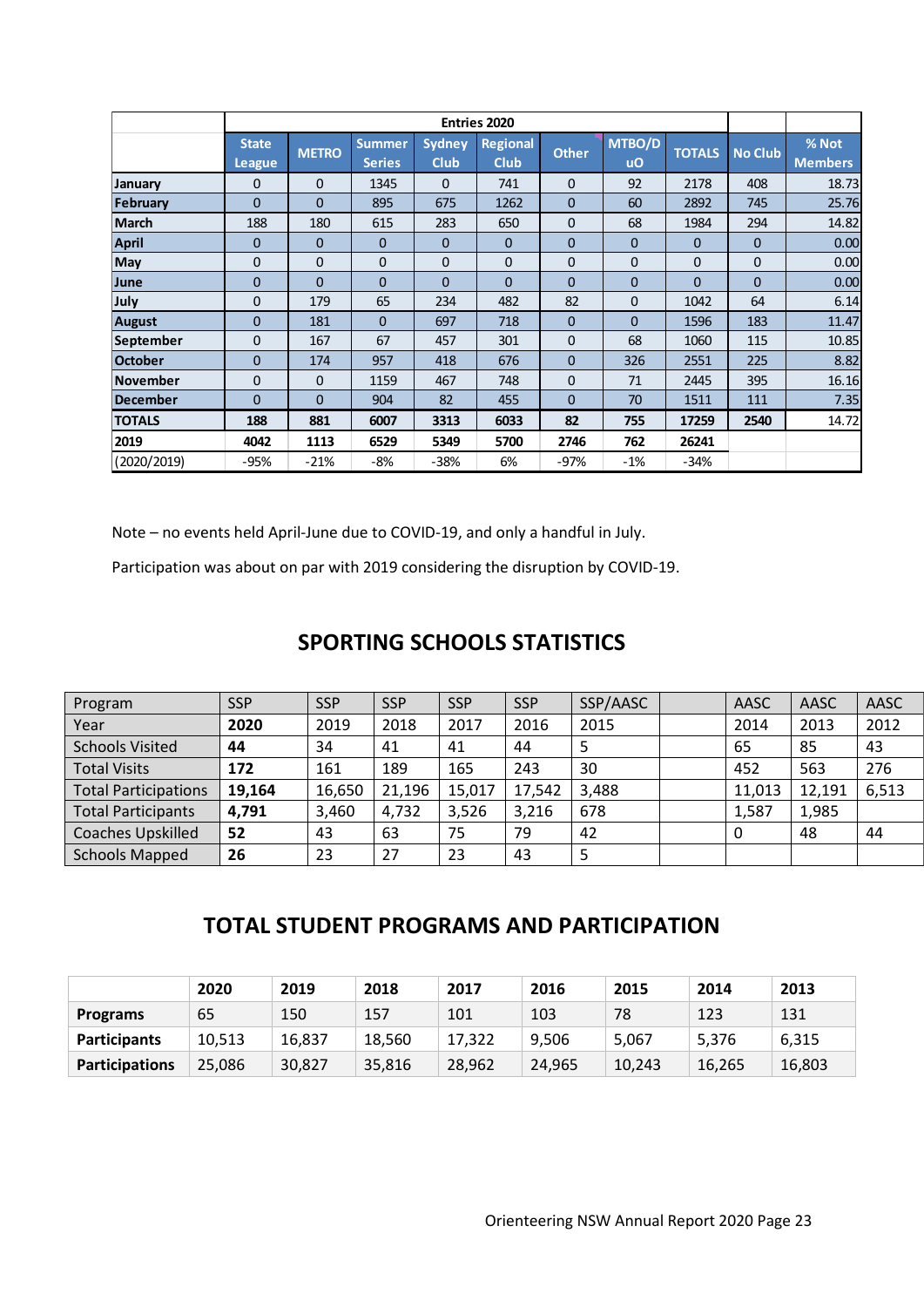|                 |                        |              |                                |                              | <b>Entries 2020</b>            |              |                     |               |                |                         |
|-----------------|------------------------|--------------|--------------------------------|------------------------------|--------------------------------|--------------|---------------------|---------------|----------------|-------------------------|
|                 | <b>State</b><br>League | <b>METRO</b> | <b>Summer</b><br><b>Series</b> | <b>Sydney</b><br><b>Club</b> | <b>Regional</b><br><b>Club</b> | <b>Other</b> | MTBO/D<br><b>uO</b> | <b>TOTALS</b> | <b>No Club</b> | % Not<br><b>Members</b> |
| January         | 0                      | $\Omega$     | 1345                           | $\mathbf{0}$                 | 741                            | $\mathbf{0}$ | 92                  | 2178          | 408            | 18.73                   |
| February        | $\Omega$               | $\Omega$     | 895                            | 675                          | 1262                           | $\mathbf{0}$ | 60                  | 2892          | 745            | 25.76                   |
| <b>March</b>    | 188                    | 180          | 615                            | 283                          | 650                            | $\mathbf{0}$ | 68                  | 1984          | 294            | 14.82                   |
| <b>April</b>    | $\mathbf{0}$           | $\Omega$     | $\mathbf{0}$                   | $\mathbf{0}$                 | $\mathbf{0}$                   | 0            | $\mathbf 0$         | $\Omega$      | $\Omega$       | 0.00                    |
| May             | 0                      | $\mathbf 0$  | $\mathbf{0}$                   | $\mathbf{0}$                 | $\mathbf{0}$                   | $\mathbf{0}$ | $\mathbf 0$         | $\Omega$      | $\Omega$       | 0.00                    |
| June            | 0                      | $\Omega$     | $\mathbf{0}$                   | $\mathbf{0}$                 | $\Omega$                       | $\mathbf{0}$ | $\mathbf 0$         | $\Omega$      | $\mathbf 0$    | 0.00                    |
| July            | $\mathbf 0$            | 179          | 65                             | 234                          | 482                            | 82           | $\mathbf 0$         | 1042          | 64             | 6.14                    |
| <b>August</b>   | $\mathbf{0}$           | 181          | $\mathbf{0}$                   | 697                          | 718                            | $\mathbf{0}$ | $\mathbf 0$         | 1596          | 183            | 11.47                   |
| September       | $\mathbf 0$            | 167          | 67                             | 457                          | 301                            | $\mathbf 0$  | 68                  | 1060          | 115            | 10.85                   |
| <b>October</b>  | $\mathbf 0$            | 174          | 957                            | 418                          | 676                            | $\mathbf{0}$ | 326                 | 2551          | 225            | 8.82                    |
| <b>November</b> | 0                      | $\Omega$     | 1159                           | 467                          | 748                            | $\mathbf{0}$ | 71                  | 2445          | 395            | 16.16                   |
| December        | 0                      | $\Omega$     | 904                            | 82                           | 455                            | $\mathbf{0}$ | 70                  | 1511          | 111            | 7.35                    |
| <b>TOTALS</b>   | 188                    | 881          | 6007                           | 3313                         | 6033                           | 82           | 755                 | 17259         | 2540           | 14.72                   |
| 2019            | 4042                   | 1113         | 6529                           | 5349                         | 5700                           | 2746         | 762                 | 26241         |                |                         |
| (2020/2019)     | -95%                   | $-21%$       | $-8%$                          | $-38%$                       | 6%                             | -97%         | $-1%$               | $-34%$        |                |                         |

Note – no events held April-June due to COVID-19, and only a handful in July.

Participation was about on par with 2019 considering the disruption by COVID-19.

#### **SPORTING SCHOOLS STATISTICS**

| Program                     | <b>SSP</b> | <b>SSP</b> | <b>SSP</b> | <b>SSP</b> | <b>SSP</b> | SSP/AASC | AASC   | AASC   | AASC  |
|-----------------------------|------------|------------|------------|------------|------------|----------|--------|--------|-------|
| Year                        | 2020       | 2019       | 2018       | 2017       | 2016       | 2015     | 2014   | 2013   | 2012  |
| <b>Schools Visited</b>      | 44         | 34         | 41         | 41         | 44         |          | 65     | 85     | 43    |
| <b>Total Visits</b>         | 172        | 161        | 189        | 165        | 243        | 30       | 452    | 563    | 276   |
| <b>Total Participations</b> | 19,164     | 16,650     | 21,196     | 15,017     | 17,542     | 3,488    | 11,013 | 12,191 | 6,513 |
| <b>Total Participants</b>   | 4,791      | 3,460      | 4,732      | 3,526      | 3.216      | 678      | 1,587  | 1,985  |       |
| <b>Coaches Upskilled</b>    | 52         | 43         | 63         | 75         | 79         | 42       |        | 48     | 44    |
| <b>Schools Mapped</b>       | 26         | 23         | 27         | 23         | 43         |          |        |        |       |

#### **TOTAL STUDENT PROGRAMS AND PARTICIPATION**

|                       | 2020   | 2019   | 2018   | 2017   | 2016   | 2015   | 2014   | 2013   |
|-----------------------|--------|--------|--------|--------|--------|--------|--------|--------|
| <b>Programs</b>       | 65     | 150    | 157    | 101    | 103    | 78     | 123    | 131    |
| <b>Participants</b>   | 10,513 | 16,837 | 18.560 | 17.322 | 9.506  | 5,067  | 5.376  | 6.315  |
| <b>Participations</b> | 25,086 | 30,827 | 35,816 | 28,962 | 24,965 | 10,243 | 16,265 | 16,803 |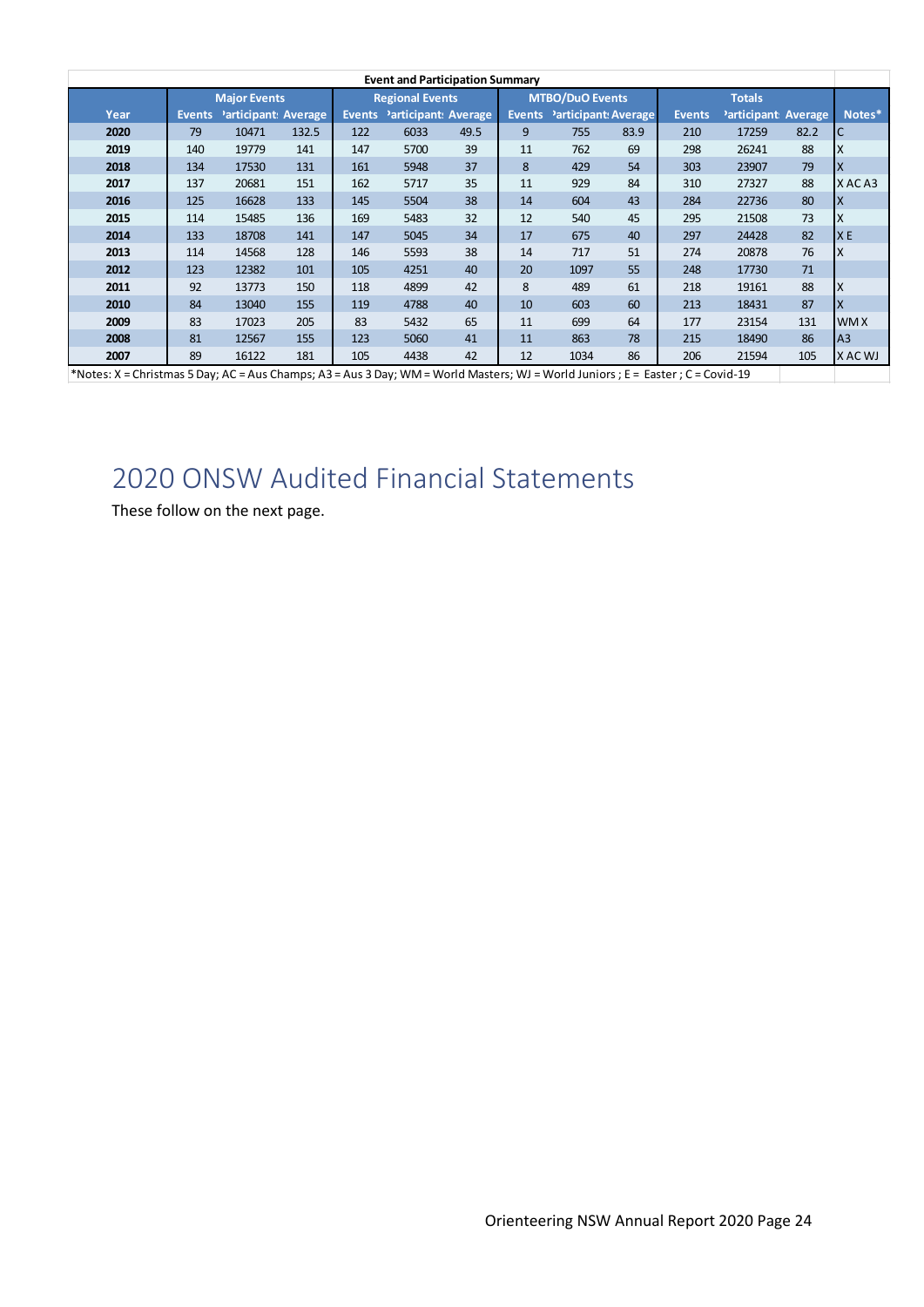| <b>Event and Participation Summary</b>                                                                                         |                     |                      |       |                        |                             |      |                        |                             |      |               |                      |      |                |
|--------------------------------------------------------------------------------------------------------------------------------|---------------------|----------------------|-------|------------------------|-----------------------------|------|------------------------|-----------------------------|------|---------------|----------------------|------|----------------|
|                                                                                                                                | <b>Major Events</b> |                      |       | <b>Regional Events</b> |                             |      | <b>MTBO/DuO Events</b> |                             |      | <b>Totals</b> |                      |      |                |
| Year                                                                                                                           | <b>Events</b>       | Participant: Average |       | <b>Events</b>          | <b>Participant: Average</b> |      |                        | Events Participant: Average |      | <b>Events</b> | Participant: Average |      | Notes*         |
| 2020                                                                                                                           | 79                  | 10471                | 132.5 | 122                    | 6033                        | 49.5 | 9                      | 755                         | 83.9 | 210           | 17259                | 82.2 | C              |
| 2019                                                                                                                           | 140                 | 19779                | 141   | 147                    | 5700                        | 39   | 11                     | 762                         | 69   | 298           | 26241                | 88   | X              |
| 2018                                                                                                                           | 134                 | 17530                | 131   | 161                    | 5948                        | 37   | 8                      | 429                         | 54   | 303           | 23907                | 79   | X              |
| 2017                                                                                                                           | 137                 | 20681                | 151   | 162                    | 5717                        | 35   | 11                     | 929                         | 84   | 310           | 27327                | 88   | XACA3          |
| 2016                                                                                                                           | 125                 | 16628                | 133   | 145                    | 5504                        | 38   | 14                     | 604                         | 43   | 284           | 22736                | 80   | ΙX             |
| 2015                                                                                                                           | 114                 | 15485                | 136   | 169                    | 5483                        | 32   | 12                     | 540                         | 45   | 295           | 21508                | 73   | X              |
| 2014                                                                                                                           | 133                 | 18708                | 141   | 147                    | 5045                        | 34   | 17                     | 675                         | 40   | 297           | 24428                | 82   | <b>XE</b>      |
| 2013                                                                                                                           | 114                 | 14568                | 128   | 146                    | 5593                        | 38   | 14                     | 717                         | 51   | 274           | 20878                | 76   | ΙX             |
| 2012                                                                                                                           | 123                 | 12382                | 101   | 105                    | 4251                        | 40   | 20                     | 1097                        | 55   | 248           | 17730                | 71   |                |
| 2011                                                                                                                           | 92                  | 13773                | 150   | 118                    | 4899                        | 42   | 8                      | 489                         | 61   | 218           | 19161                | 88   | Ιx             |
| 2010                                                                                                                           | 84                  | 13040                | 155   | 119                    | 4788                        | 40   | 10                     | 603                         | 60   | 213           | 18431                | 87   | X              |
| 2009                                                                                                                           | 83                  | 17023                | 205   | 83                     | 5432                        | 65   | 11                     | 699                         | 64   | 177           | 23154                | 131  | <b>WMX</b>     |
| 2008                                                                                                                           | 81                  | 12567                | 155   | 123                    | 5060                        | 41   | 11                     | 863                         | 78   | 215           | 18490                | 86   | A <sub>3</sub> |
| 2007                                                                                                                           | 89                  | 16122                | 181   | 105                    | 4438                        | 42   | 12                     | 1034                        | 86   | 206           | 21594                | 105  | X AC WJ        |
| *Notes: X = Christmas 5 Day; AC = Aus Champs; A3 = Aus 3 Day; WM = World Masters; WJ = World Juniors; E = Easter; C = Covid-19 |                     |                      |       |                        |                             |      |                        |                             |      |               |                      |      |                |

## <span id="page-24-0"></span>2020 ONSW Audited Financial Statements

These follow on the next page.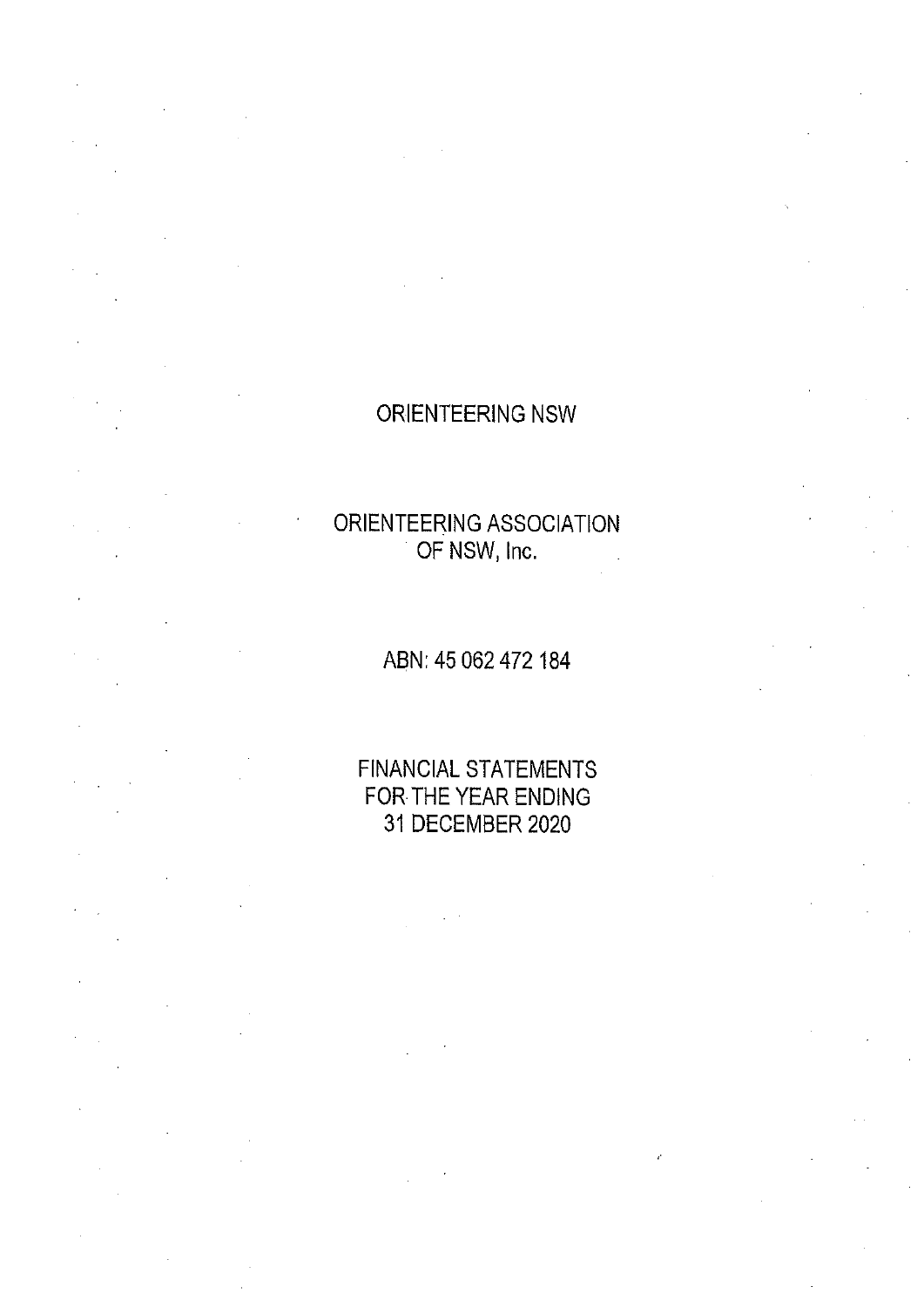## ORIENTEERING NSW

## ORIENTEERING ASSOCIATION OF NSW, Inc.

## ABN: 45 062 472 184

## **FINANCIAL STATEMENTS** FOR THE YEAR ENDING 31 DECEMBER 2020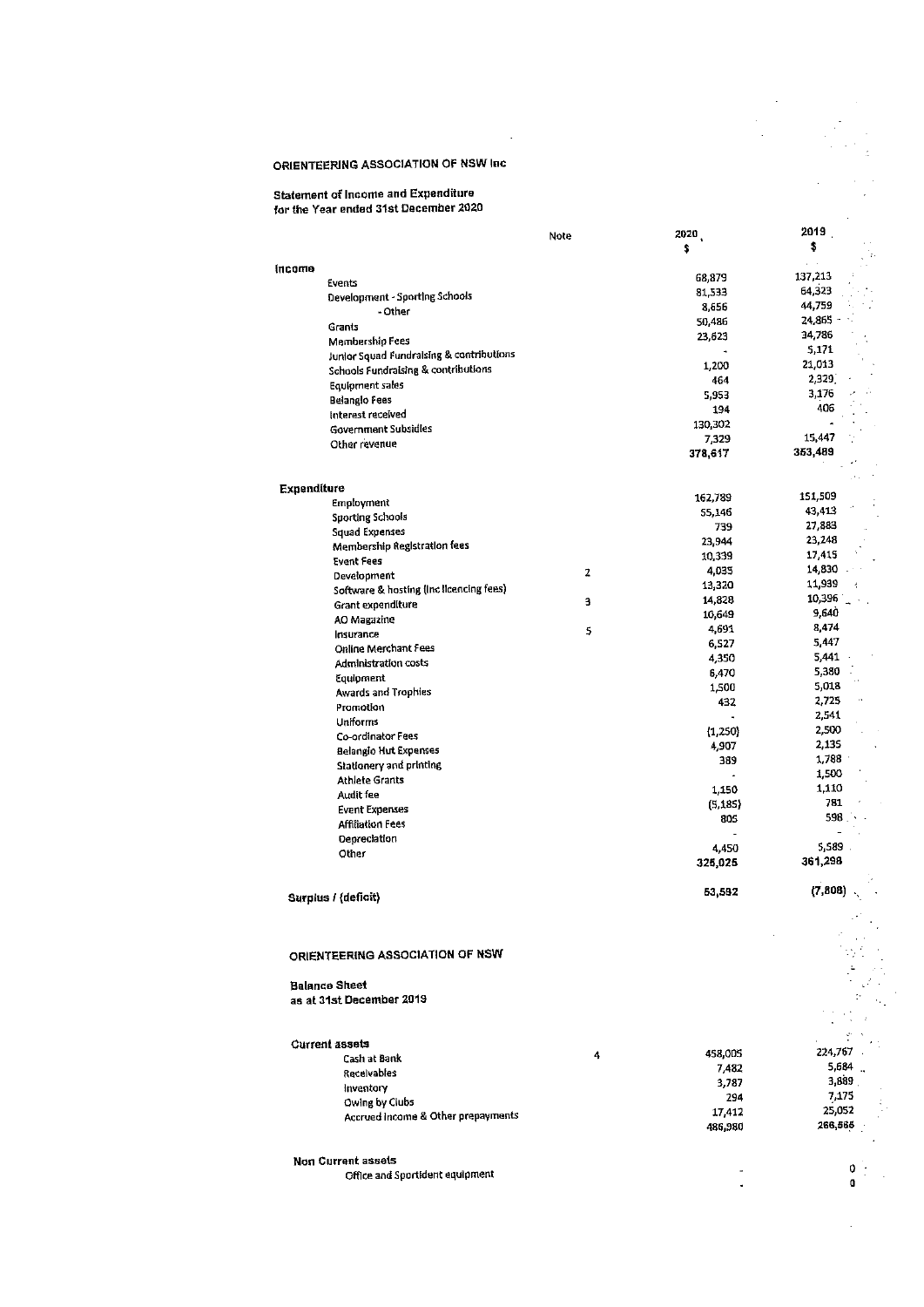#### **ORIENTEERING ASSOCIATION OF NSW Inc.**

 $\ddot{\phantom{a}}$ 

# Statement of Income and Expenditure<br>for the Year ended 31st December 2020

|                                           | Note | 2020             | 2019             |
|-------------------------------------------|------|------------------|------------------|
|                                           |      | \$               | \$               |
| income                                    |      | 68,879           | 137, 213         |
| Events                                    |      | 81,533           | 64 323           |
| Development - Sporting Schools<br>- Other |      | 8,656            | 44.759           |
| Grants                                    |      | 50,486           | 24,865           |
| Membership Fees                           |      | 23,623           | 34.786           |
| Junior Squad Fundraising & contributions  |      |                  | 5,171            |
| Schools Fundraising & contributions       |      | 1,200            | 21,013           |
| Equioment sales                           |      | 464              | 2,329            |
| Belangio Fees                             |      | 5,953            | 3,176            |
| Interest received                         |      | 194              | 406              |
| Government Subsidies                      |      | 130,302          | 15,447           |
| Other revenue                             |      | 7,329<br>378,617 | 353,489          |
|                                           |      |                  |                  |
| Expenditure                               |      |                  |                  |
| Employment                                |      | 162,789          | 151,509          |
| <b>Sporting Schools</b>                   |      | 55,146           | 43,413           |
| <b>Squad Expenses</b>                     |      | 739              | 27,883<br>23,248 |
| Membership Registration fees              |      | 23,944<br>10,339 | 17,415           |
| <b>Event Fees</b>                         |      | 4.035            | 14,830           |
| Development                               | 2    | 13,320           | 11,939           |
| Software & hosting (Inc licencing fees)   | э    | 14,828           | 10,396           |
| Grant expenditure                         |      | 10.649           | 9,640            |
| AO Magazine<br>Insurance                  | 5    | 4,691            | 8,474            |
| Online Merchant Fees                      |      | 6,527            | 5,447            |
| Administration costs                      |      | 4,350            | 5,441            |
| Equipment                                 |      | 6,470            | 5,380            |
| Awards and Trophies                       |      | 1,500            | 5,018            |
| Promotion                                 |      | 432              | 2,725            |
| Uniforms                                  |      |                  | 2,541            |
| Co-ordinator Fees                         |      | (1,250)          | 2,500            |
| Belangio Hut Expenses                     |      | 4,907            | 2,135            |
| Stationery and printing                   |      | 389              | 1,788<br>1,500   |
| <b>Athlete Grants</b>                     |      | 1,150            | 1,110            |
| Audit fee                                 |      | (5, 185)         | 781              |
| <b>Event Expenses</b>                     |      | 805              | 598.             |
| Affiliation Fees                          |      |                  |                  |
| Depreciation                              |      | 4,450            | 5,589            |
| Other                                     |      | 325,025          | 361,298          |
| Surplus / (deficit)                       |      | 53,592           | (7, 808)         |
|                                           |      |                  |                  |
|                                           |      |                  |                  |
| ORIENTEERING ASSOCIATION OF NSW           |      |                  |                  |
| <b>Balance Sheet</b>                      |      |                  |                  |
| as at 31st December 2019                  |      |                  |                  |
|                                           |      |                  |                  |
| <b>Current assets</b>                     |      |                  |                  |
| Cash at Bank                              | 4    | 458,005          | 224.767.         |
| Receivables                               |      | 7,482            | 5,684.           |
| Inventory                                 |      | 3,787            | 3,889            |
| Owing by Clubs                            |      | 294              | 7,175<br>25,052  |
| Accrued income & Other prepayments        |      | 17,412           | 266,565          |
|                                           |      | 486,980          |                  |
| Non Current assets                        |      |                  | 0.               |
| Office and Sportident equipment           |      |                  | o                |

 $\hat{\boldsymbol{\beta}}$  $\overline{\phantom{a}}$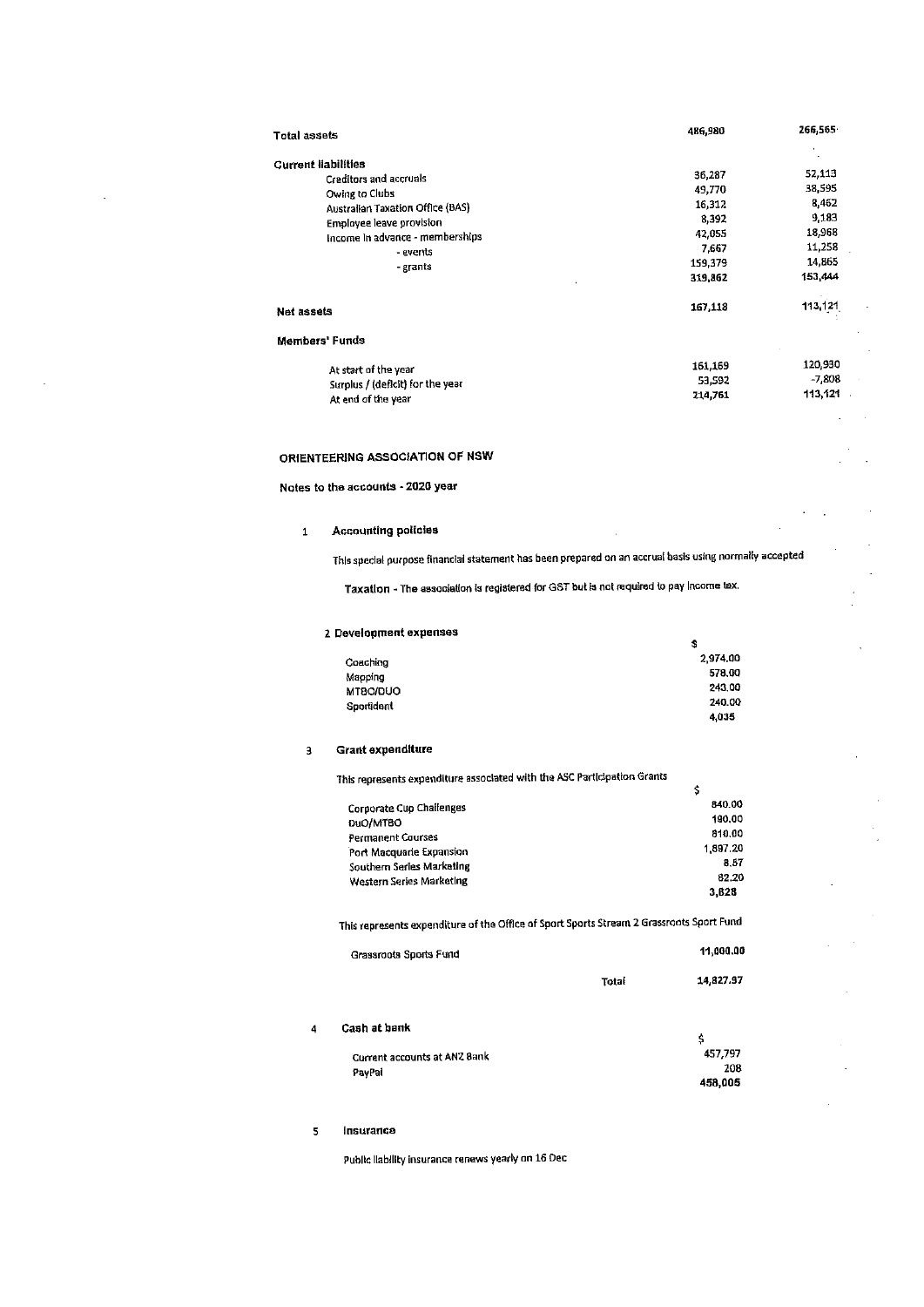| Total assets                                                                                                                                                                                 | 486,980                                                | 266,565                                                |  |
|----------------------------------------------------------------------------------------------------------------------------------------------------------------------------------------------|--------------------------------------------------------|--------------------------------------------------------|--|
| <b>Current liabilities</b><br>Creditors and accruals<br>Owing to Clubs<br><b>Australian Taxation Office (BAS)</b><br>Employee leave provision<br>Income In advance - memberships<br>- events | 36,287<br>49,770<br>16,312<br>8,392<br>42,055<br>7.667 | 52,113<br>38,595<br>8,462<br>9,183<br>18,968<br>11,258 |  |
| - grants<br>×                                                                                                                                                                                | 159,379<br>319,862                                     | 14,865<br>153,444                                      |  |
| Net assets                                                                                                                                                                                   | 167,118                                                | 113,121                                                |  |
| Members' Funds                                                                                                                                                                               |                                                        |                                                        |  |
| At start of the year<br>Surplus / (deficit) for the year<br>At end of the year                                                                                                               | 161,169<br>53,592<br>214,761                           | 120,930<br>-7,808<br>113,121                           |  |

#### ORIENTEERING ASSOCIATION OF NSW

#### Notes to the accounts - 2020 year

#### **Accounting policies**  $\mathbf 1$

This special purpose financial statement has been prepared on an accrual basis using normally accepted

 $\ddot{\bullet}$ 

ú

Taxation - The association is registered for GST but is not required to pay income tax.

#### 2 Development expenses

| Coaching   | 2,974.00 |
|------------|----------|
| Марріпд    | 578.00   |
| MTBO/DUO   | 243.00   |
| Sportident | 240.00   |
|            | 4.035    |

#### **Grant expenditure**  $\overline{\mathbf{3}}$

This represents expenditure associated with the ASC Participation Grants

| $10.1$ CM castles cynerially approved and $1.1$ |          |
|-------------------------------------------------|----------|
| Corporate Cup Challenges                        | 840.00   |
| DuO/MTBO                                        | 190.00   |
| <b>Permanent Courses</b>                        | 810.00   |
| Port Macquarie Expansion                        | 1.897.20 |
| Southern Series Marketing                       | 8.57     |
| <b>Western Series Marketing</b>                 | 82.20    |
|                                                 | 3.828    |

This represents expenditure of the Office of Sport Sports Stream 2 Grassroots Sport Fund

| Grassroots Sports Fund | 11,000.00 |
|------------------------|-----------|
|                        |           |

#### Cash at bank 4

| Current accounts at ANZ 8ank | 457.797 |
|------------------------------|---------|
| PavPal                       | 208     |
|                              | 458,005 |

#### Insurance  $\overline{\mathbf{5}}$

Public liability insurance renews yearly on 16 Dec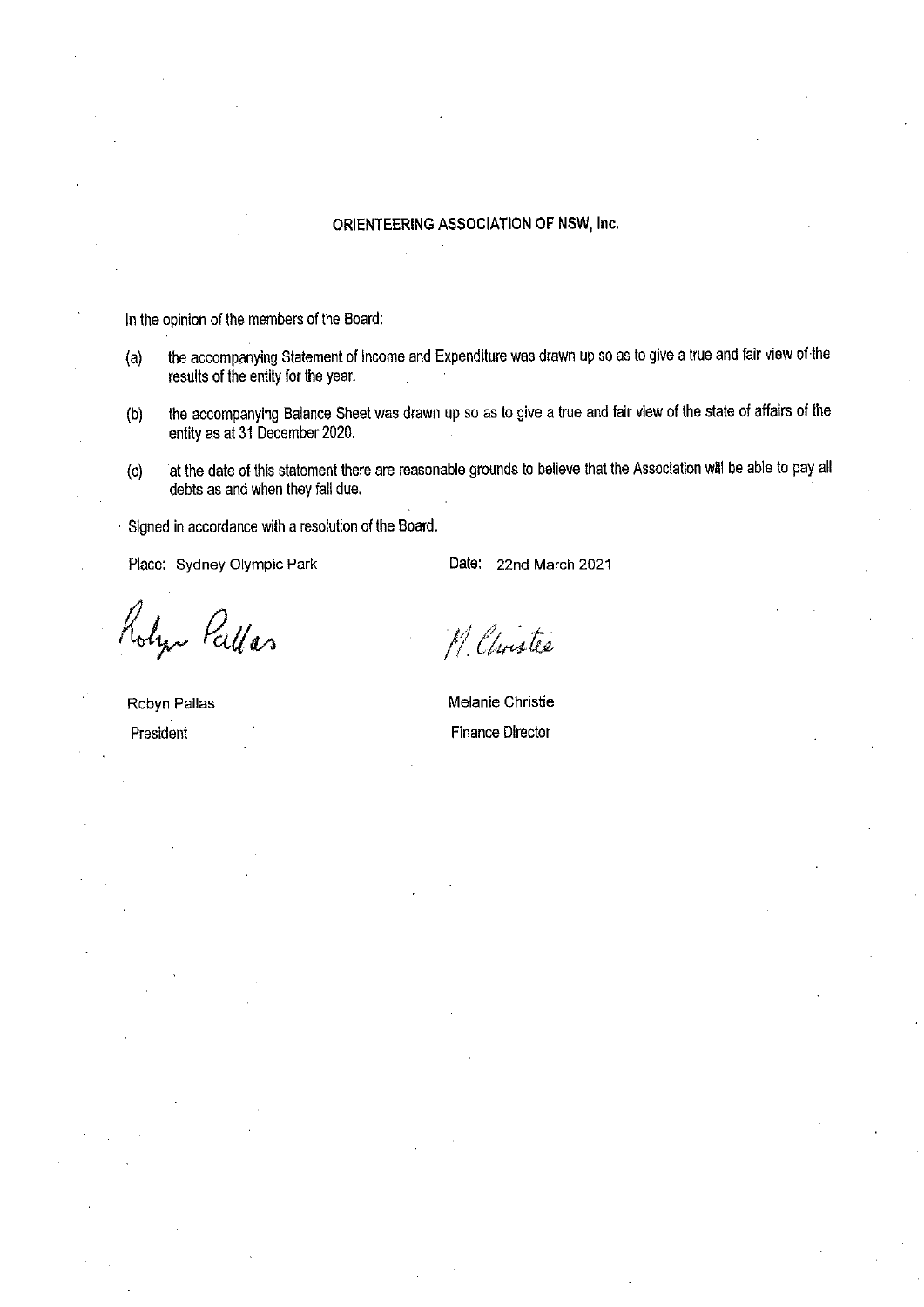#### ORIENTEERING ASSOCIATION OF NSW, Inc.

In the opinion of the members of the Board:

- the accompanying Statement of Income and Expenditure was drawn up so as to give a true and fair view of the  $(a)$ results of the entity for the year.
- the accompanying Balance Sheet was drawn up so as to give a true and fair view of the state of affairs of the  $(b)$ entity as at 31 December 2020.
- at the date of this statement there are reasonable grounds to believe that the Association will be able to pay all  $(c)$ debts as and when they fall due.

· Signed in accordance with a resolution of the Board.

Place: Sydney Olympic Park

Date: 22nd March 2021

- Pallas

M. Christie

Robyn Pallas President

Melanie Christie **Finance Director**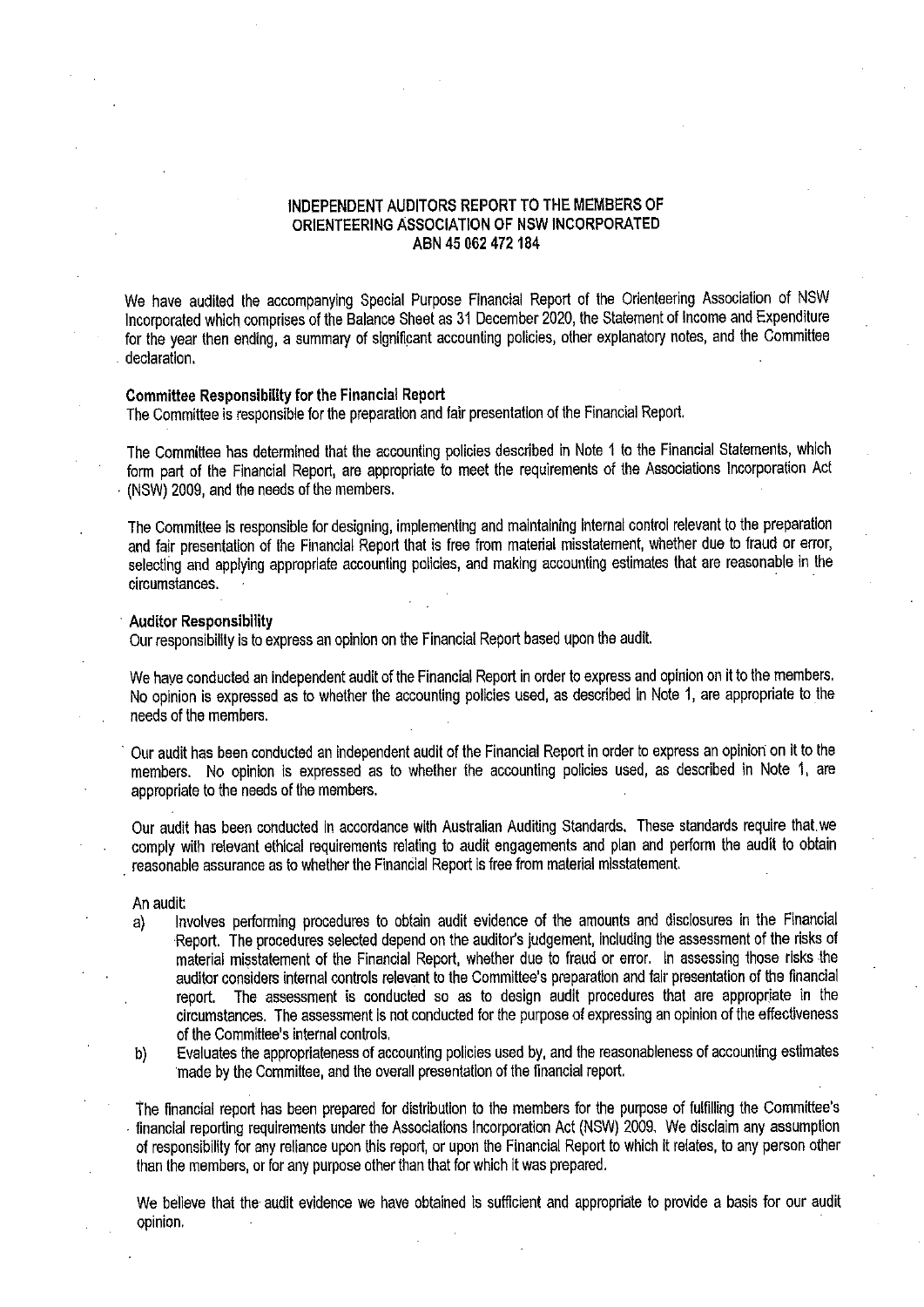#### INDEPENDENT AUDITORS REPORT TO THE MEMBERS OF ORIENTEERING ASSOCIATION OF NSW INCORPORATED ABN 45 062 472 184

We have audited the accompanying Special Purpose Financial Report of the Orienteering Association of NSW Incorporated which comprises of the Balance Sheet as 31 December 2020, the Statement of Income and Expenditure for the year then ending, a summary of significant accounting policies, other explanatory notes, and the Committee declaration.

#### **Committee Responsibility for the Financial Report**

The Committee is responsible for the preparation and fair presentation of the Financial Report.

The Committee has determined that the accounting policies described in Note 1 to the Financial Statements, which form part of the Financial Report, are appropriate to meet the requirements of the Associations Incorporation Act (NSW) 2009, and the needs of the members.

The Committee is responsible for designing, implementing and maintaining internal control relevant to the preparation and fair presentation of the Financial Report that is free from material misstatement, whether due to fraud or error, selecting and applying appropriate accounting policies, and making accounting estimates that are reasonable in the circumstances.

#### **Auditor Responsibility**

Our responsibility is to express an opinion on the Financial Report based upon the audit.

We have conducted an independent audit of the Financial Report in order to express and opinion on it to the members. No opinion is expressed as to whether the accounting policies used, as described in Note 1, are appropriate to the needs of the members.

Our audit has been conducted an independent audit of the Financial Report in order to express an opinion on it to the members. No opinion is expressed as to whether the accounting policies used, as described in Note 1, are appropriate to the needs of the members.

Our audit has been conducted in accordance with Australian Auditing Standards. These standards require that we comply with relevant ethical requirements relating to audit engagements and plan and perform the audit to obtain reasonable assurance as to whether the Financial Report is free from material misstatement.

An audit:

- Involves performing procedures to obtain audit evidence of the amounts and disclosures in the Financial a) Report. The procedures selected depend on the auditor's judgement, including the assessment of the risks of material misstatement of the Financial Report, whether due to fraud or error. In assessing those risks the auditor considers internal controls relevant to the Committee's preparation and fair presentation of the financial The assessment is conducted so as to design audit procedures that are appropriate in the report. circumstances. The assessment is not conducted for the purpose of expressing an opinion of the effectiveness of the Committee's internal controls,
- Evaluates the appropriateness of accounting policies used by, and the reasonableness of accounting estimates b) made by the Committee, and the overall presentation of the financial report.

The financial report has been prepared for distribution to the members for the purpose of fulfilling the Committee's financial reporting requirements under the Associations Incorporation Act (NSW) 2009. We disclaim any assumption of responsibility for any reliance upon this report, or upon the Financial Report to which it relates, to any person other than the members, or for any purpose other than that for which it was prepared.

We believe that the audit evidence we have obtained is sufficient and appropriate to provide a basis for our audit opinion.